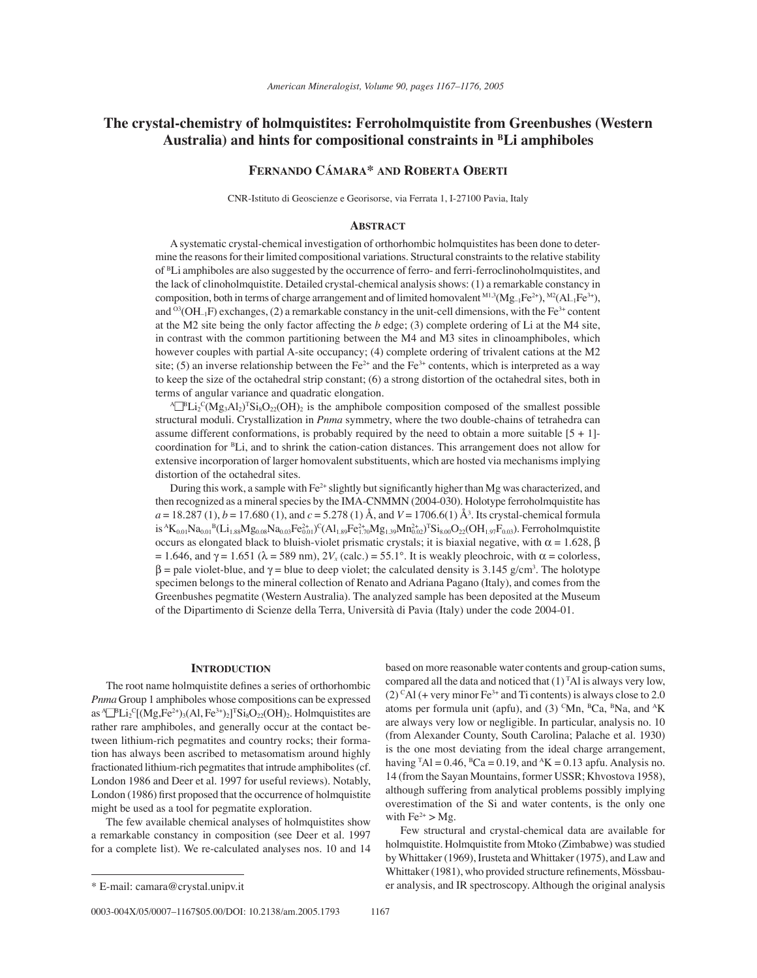# **The crystal-chemistry of holmquistites: Ferroholmquistite from Greenbushes (Western Australia) and hints for compositional constraints in BLi amphiboles**

## **FERNANDO CÁMARA\* AND ROBERTA OBERTI**

CNR-Istituto di Geoscienze e Georisorse, via Ferrata 1, I-27100 Pavia, Italy

## **ABSTRACT**

A systematic crystal-chemical investigation of orthorhombic holmquistites has been done to determine the reasons for their limited compositional variations. Structural constraints to the relative stability of BLi amphiboles are also suggested by the occurrence of ferro- and ferri-ferroclinoholmquistites, and the lack of clinoholmquistite. Detailed crystal-chemical analysis shows: (1) a remarkable constancy in composition, both in terms of charge arrangement and of limited homovalent  $^{M1,3}(Mg_{-1}Fe^{2+}),$   $^{M2}(Al_{-1}Fe^{3+}),$ and <sup>03</sup>( $OH_{-1}F$ ) exchanges, (2) a remarkable constancy in the unit-cell dimensions, with the Fe<sup>3+</sup> content at the M2 site being the only factor affecting the *b* edge; (3) complete ordering of Li at the M4 site, in contrast with the common partitioning between the M4 and M3 sites in clinoamphiboles, which however couples with partial A-site occupancy; (4) complete ordering of trivalent cations at the M2 site; (5) an inverse relationship between the Fe<sup>2+</sup> and the Fe<sup>3+</sup> contents, which is interpreted as a way to keep the size of the octahedral strip constant; (6) a strong distortion of the octahedral sites, both in terms of angular variance and quadratic elongation.

 $\Delta P^{\text{B}}\text{Li}_2^{\text{C}}(Mg_3\text{Al}_2)^{\text{T}}\text{Si}_8\text{O}_{22}(\text{OH})_2$  is the amphibole composition composed of the smallest possible structural moduli. Crystallization in *Pnma* symmetry, where the two double-chains of tetrahedra can assume different conformations, is probably required by the need to obtain a more suitable  $[5 + 1]$ coordination for BLi, and to shrink the cation-cation distances. This arrangement does not allow for extensive incorporation of larger homovalent substituents, which are hosted via mechanisms implying distortion of the octahedral sites.

During this work, a sample with  $Fe^{2+}$  slightly but significantly higher than Mg was characterized, and then recognized as a mineral species by the IMA-CNMMN (2004-030). Holotype ferroholmquistite has *a* = 18.287 (1), *b* = 17.680 (1), and *c* = 5.278 (1) Å, and *V* = 1706.6(1) Å<sup>3</sup>. Its crystal-chemical formula  $is A_{K_{0,01}}R_{0,01}B_{L1,1,88}Mg_{0,08}Na_{0,03}Fe_{0,01}^2C(A_{1,89}Fe_{1,70}^2Mg_{1,39}Mn_{0,02}^2)$ <sup>T</sup>Si<sub>8.00</sub>O<sub>22</sub>(OH<sub>1.97</sub>F<sub>0.03</sub>). Ferroholmquistite occurs as elongated black to bluish-violet prismatic crystals; it is biaxial negative, with  $α = 1.628$ ,  $β$ = 1.646, and  $\gamma$  = 1.651 ( $\lambda$  = 589 nm),  $2V_x$  (calc.) = 55.1°. It is weakly pleochroic, with  $\alpha$  = colorless,  $β = pale violet-blue, and γ = blue to deep violet; the calculated density is 3.145 g/cm<sup>3</sup>. The holotype$ specimen belongs to the mineral collection of Renato and Adriana Pagano (Italy), and comes from the Greenbushes pegmatite (Western Australia). The analyzed sample has been deposited at the Museum of the Dipartimento di Scienze della Terra, Università di Pavia (Italy) under the code 2004-01.

### **INTRODUCTION**

The root name holmquistite defines a series of orthorhombic *Pnma* Group 1 amphiboles whose compositions can be expressed as <sup>A</sup> $\Box$ <sup>p</sup>Li<sub>2</sub><sup>C</sup>[(Mg,Fe<sup>2+</sup>)<sub>3</sub>(Al, Fe<sup>3+</sup>)<sub>2</sub>]<sup>T</sup>Si<sub>8</sub>O<sub>22</sub>(OH)<sub>2</sub>. Holmquistites are rather rare amphiboles, and generally occur at the contact between lithium-rich pegmatites and country rocks; their formation has always been ascribed to metasomatism around highly fractionated lithium-rich pegmatites that intrude amphibolites (cf. London 1986 and Deer et al. 1997 for useful reviews). Notably, London (1986) first proposed that the occurrence of holmquistite might be used as a tool for pegmatite exploration.

The few available chemical analyses of holmquistites show a remarkable constancy in composition (see Deer et al. 1997 for a complete list). We re-calculated analyses nos. 10 and 14

based on more reasonable water contents and group-cation sums, compared all the data and noticed that  $(1)^T A l$  is always very low, (2)  $\rm{c}\rm{Al}$  (+ very minor Fe<sup>3+</sup> and Ti contents) is always close to 2.0 atoms per formula unit (apfu), and (3) <sup>C</sup>Mn, <sup>B</sup>Ca, <sup>B</sup>Na, and <sup>A</sup>K are always very low or negligible. In particular, analysis no. 10 (from Alexander County, South Carolina; Palache et al. 1930) is the one most deviating from the ideal charge arrangement, having  $\text{TA} = 0.46$ ,  $\text{BCa} = 0.19$ , and  $\text{AK} = 0.13$  apfu. Analysis no. 14 (from the Sayan Mountains, former USSR; Khvostova 1958), although suffering from analytical problems possibly implying overestimation of the Si and water contents, is the only one with  $Fe^{2+} > Mg$ .

Few structural and crystal-chemical data are available for holmquistite. Holmquistite from Mtoko (Zimbabwe) was studied by Whittaker (1969), Irusteta and Whittaker (1975), and Law and Whittaker (1981), who provided structure refinements, Mössbau-\* E-mail: camara@crystal.unipv.it er analysis, and IR spectroscopy. Although the original analysis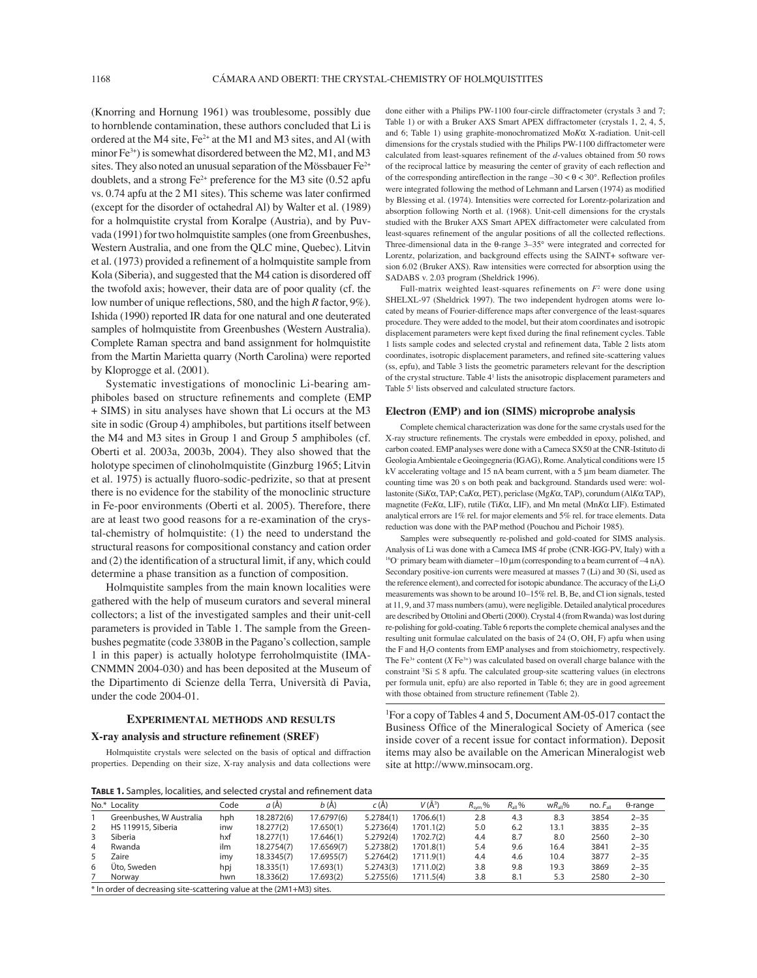(Knorring and Hornung 1961) was troublesome, possibly due to hornblende contamination, these authors concluded that Li is ordered at the M4 site,  $Fe^{2+}$  at the M1 and M3 sites, and A1 (with minor  $Fe^{3+}$ ) is somewhat disordered between the M2, M1, and M3 sites. They also noted an unusual separation of the Mössbauer  $Fe<sup>2+</sup>$ doublets, and a strong  $Fe^{2+}$  preference for the M3 site (0.52 apfu vs. 0.74 apfu at the 2 M1 sites). This scheme was later confirmed (except for the disorder of octahedral Al) by Walter et al. (1989) for a holmquistite crystal from Koralpe (Austria), and by Puvvada (1991) for two holmquistite samples (one from Greenbushes, Western Australia, and one from the QLC mine, Quebec). Litvin et al. (1973) provided a refinement of a holmquistite sample from Kola (Siberia), and suggested that the M4 cation is disordered off the twofold axis; however, their data are of poor quality (cf. the low number of unique reflections, 580, and the high *R* factor, 9%). Ishida (1990) reported IR data for one natural and one deuterated samples of holmquistite from Greenbushes (Western Australia). Complete Raman spectra and band assignment for holmquistite from the Martin Marietta quarry (North Carolina) were reported by Kloprogge et al. (2001).

Systematic investigations of monoclinic Li-bearing amphiboles based on structure refinements and complete (EMP + SIMS) in situ analyses have shown that Li occurs at the M3 site in sodic (Group 4) amphiboles, but partitions itself between the M4 and M3 sites in Group 1 and Group 5 amphiboles (cf. Oberti et al. 2003a, 2003b, 2004). They also showed that the holotype specimen of clinoholmquistite (Ginzburg 1965; Litvin et al. 1975) is actually fluoro-sodic-pedrizite, so that at present there is no evidence for the stability of the monoclinic structure in Fe-poor environments (Oberti et al. 2005). Therefore, there are at least two good reasons for a re-examination of the crystal-chemistry of holmquistite: (1) the need to understand the structural reasons for compositional constancy and cation order and  $(2)$  the identification of a structural limit, if any, which could determine a phase transition as a function of composition.

Holmquistite samples from the main known localities were gathered with the help of museum curators and several mineral collectors; a list of the investigated samples and their unit-cell parameters is provided in Table 1. The sample from the Greenbushes pegmatite (code 3380B in the Pagano·s collection, sample 1 in this paper) is actually holotype ferroholmquistite (IMA-CNMMN 2004-030) and has been deposited at the Museum of the Dipartimento di Scienze della Terra, Università di Pavia, under the code 2004-01.

## **EXPERIMENTAL METHODS AND RESULTS**

#### **X-ray analysis and structure refinement (SREF)**

Holmquistite crystals were selected on the basis of optical and diffraction properties. Depending on their size, X-ray analysis and data collections were done either with a Philips PW-1100 four-circle diffractometer (crystals 3 and 7; Table 1) or with a Bruker AXS Smart APEX diffractometer (crystals 1, 2, 4, 5, and 6; Table 1) using graphite-monochromatized Mo*K*α X-radiation. Unit-cell dimensions for the crystals studied with the Philips PW-1100 diffractometer were calculated from least-squares refinement of the *d*-values obtained from 50 rows of the reciprocal lattice by measuring the center of gravity of each reflection and of the corresponding antireflection in the range  $-30 < \theta < 30^{\circ}$ . Reflection profiles were integrated following the method of Lehmann and Larsen (1974) as modified by Blessing et al. (1974). Intensities were corrected for Lorentz-polarization and absorption following North et al. (1968). Unit-cell dimensions for the crystals studied with the Bruker AXS Smart APEX diffractometer were calculated from least-squares refinement of the angular positions of all the collected reflections. Three-dimensional data in the θ-range 3–35° were integrated and corrected for Lorentz, polarization, and background effects using the SAINT+ software version 6.02 (Bruker AXS). Raw intensities were corrected for absorption using the SADABS v. 2.03 program (Sheldrick 1996).

Full-matrix weighted least-squares refinements on  $F<sup>2</sup>$  were done using SHELXL-97 (Sheldrick 1997). The two independent hydrogen atoms were located by means of Fourier-difference maps after convergence of the least-squares procedure. They were added to the model, but their atom coordinates and isotropic displacement parameters were kept fixed during the final refinement cycles. Table 1 lists sample codes and selected crystal and refinement data, Table 2 lists atom coordinates, isotropic displacement parameters, and refined site-scattering values (ss, epfu), and Table 3 lists the geometric parameters relevant for the description of the crystal structure. Table 41 lists the anisotropic displacement parameters and Table 5<sup>1</sup> lists observed and calculated structure factors.

## **Electron (EMP) and ion (SIMS) microprobe analysis**

Complete chemical characterization was done for the same crystals used for the X-ray structure refinements. The crystals were embedded in epoxy, polished, and carbon coated. EMP analyses were done with a Cameca SX50 at the CNR-Istituto di Geologia Ambientale e Geoingegneria (IGAG), Rome. Analytical conditions were 15 kV accelerating voltage and 15 nA beam current, with a 5 μm beam diameter. The counting time was 20 s on both peak and background. Standards used were: wollastonite (Si*K*α, TAP; Ca*K*α, PET), periclase (Mg*K*α, TAP), corundum (Al*K*α TAP), magnetite (Fe*K*α, LIF), rutile (Ti*K*α, LIF), and Mn metal (Mn*K*α LIF). Estimated analytical errors are 1% rel. for major elements and 5% rel. for trace elements. Data reduction was done with the PAP method (Pouchou and Pichoir 1985).

Samples were subsequently re-polished and gold-coated for SIMS analysis. Analysis of Li was done with a Cameca IMS 4f probe (CNR-IGG-PV, Italy) with a <sup>16</sup>O<sup>–</sup> primary beam with diameter ~10 μm (corresponding to a beam current of ~4 nA). Secondary positive-ion currents were measured at masses 7 (Li) and 30 (Si, used as the reference element), and corrected for isotopic abundance. The accuracy of the Li<sub>2</sub>O measurements was shown to be around 10–15% rel. B, Be, and Cl ion signals, tested at 11, 9, and 37 mass numbers (amu), were negligible. Detailed analytical procedures are described by Ottolini and Oberti (2000). Crystal 4 (from Rwanda) was lost during re-polishing for gold-coating. Table 6 reports the complete chemical analyses and the resulting unit formulae calculated on the basis of 24 (O, OH, F) apfu when using the F and H<sub>2</sub>O contents from EMP analyses and from stoichiometry, respectively. The Fe<sup>3+</sup> content  $(X \, \text{Fe}^{3+})$  was calculated based on overall charge balance with the constraint  $^T$ Si  $\leq$  8 apfu. The calculated group-site scattering values (in electrons per formula unit, epfu) are also reported in Table 6; they are in good agreement with those obtained from structure refinement (Table 2).

1 For a copy of Tables 4 and 5, Document AM-05-017 contact the Business Office of the Mineralogical Society of America (see inside cover of a recent issue for contact information). Deposit items may also be available on the American Mineralogist web site at http://www.minsocam.org.

**TABLE 1.** Samples, localities, and selected crystal and refinement data

|    | <b>TABLE 1.</b> Jampies, localities, and selected crystal and remierment data |      |            |            |           |            |                  |                    |                     |              |                 |  |
|----|-------------------------------------------------------------------------------|------|------------|------------|-----------|------------|------------------|--------------------|---------------------|--------------|-----------------|--|
|    | No.* Locality                                                                 | Code | a(A)       | b (Å)      | c(A)      | $V(\AA^3)$ | $R_{\rm{sym}}$ % | $R_{\text{all}}$ % | WR <sub>all</sub> % | $no.F_{all}$ | $\theta$ -range |  |
|    | Greenbushes, W Australia                                                      | hph  | 18.2872(6) | 17.6797(6) | 5.2784(1) | 1706.6(1)  | 2.8              | 4.3                | 8.3                 | 3854         | $2 - 35$        |  |
| 2  | HS 119915, Siberia                                                            | inw  | 18.277(2)  | 17.650(1)  | 5.2736(4) | 1701.1(2)  | 5.0              | 6.2                | 13.1                | 3835         | $2 - 35$        |  |
| 3  | Siberia                                                                       | hxf  | 18.277(1)  | 17.646(1)  | 5.2792(4) | 1702.7(2)  | 4.4              | 8.7                | 8.0                 | 2560         | $2 - 30$        |  |
| 4  | Rwanda                                                                        | ilm  | 18.2754(7) | 17.6569(7) | 5.2738(2) | 1701.8(1)  | 5.4              | 9.6                | 16.4                | 3841         | $2 - 35$        |  |
| 5. | Zaire                                                                         | imv  | 18.3345(7) | 17.6955(7) | 5.2764(2) | 1711.9(1)  | 4.4              | 4.6                | 10.4                | 3877         | $2 - 35$        |  |
| 6  | Üto, Sweden                                                                   | hpj  | 18.335(1)  | 17.693(1)  | 5.2743(3) | 1711.0(2)  | 3.8              | 9.8                | 19.3                | 3869         | $2 - 35$        |  |
|    | Norway                                                                        | hwn  | 18.336(2)  | 17.693(2)  | 5.2755(6) | 1711.5(4)  | 3.8              | 8.1                | 5.3                 | 2580         | $2 - 30$        |  |
|    | * In order of decreasing site-scattering value at the (2M1+M3) sites.         |      |            |            |           |            |                  |                    |                     |              |                 |  |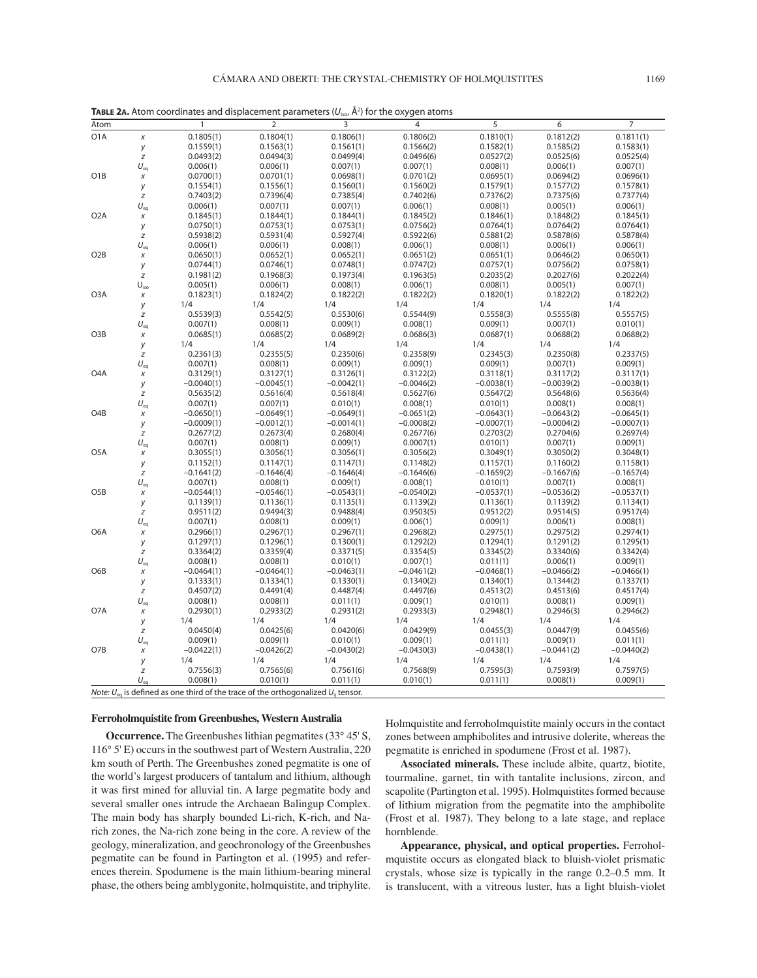| Atom |              |           |           |           |           |           |           |           |
|------|--------------|-----------|-----------|-----------|-----------|-----------|-----------|-----------|
| O1A  | X            | 0.1805(1) | 0.1804(1) | 0.1806(1) | 0.1806(2) | 0.1810(1) | 0.1812(2) | 0.1811(1) |
|      |              | 0.1559(1) | 0.1563(1) | 0.1561(1) | 0.1566(2) | 0.1582(1) | 0.1585(2) | 0.1583(1) |
|      |              | 0.0493(2) | 0.0494(3) | 0.0499(4) | 0.0496(6) | 0.0527(2) | 0.0525(6) | 0.0525(4) |
|      | $U_{\rm ea}$ | 0.006(1)  | 0.006(1)  | 0.007(1)  | 0.007(1)  | 0.008(1)  | 0.006(1)  | 0.007(1)  |
| O1B  | x            | 0.0700(1) | 0.0701(1) | 0.0698(1) | 0.0701(2) | 0.0695(1) | 0.0694(2) | 0.0696(1) |
|      |              |           |           |           |           |           |           |           |

**TABLE 2A.** Atom coordinates and displacement parameters  $(U_{\text{iso}}^{\dagger}$  Å<sup>2</sup>) for the oxygen atoms

| O <sub>1</sub> A | $\chi$                      | 0.1805(1)                | 0.1804(1)                                                                                                | 0.1806(1)                | 0.1806(2)                | 0.1810(1)                | 0.1812(2)                | 0.1811(1)                |
|------------------|-----------------------------|--------------------------|----------------------------------------------------------------------------------------------------------|--------------------------|--------------------------|--------------------------|--------------------------|--------------------------|
|                  | y                           | 0.1559(1)                | 0.1563(1)                                                                                                | 0.1561(1)                | 0.1566(2)                | 0.1582(1)                | 0.1585(2)                | 0.1583(1)                |
|                  | $\boldsymbol{Z}$            | 0.0493(2)                | 0.0494(3)                                                                                                | 0.0499(4)                | 0.0496(6)                | 0.0527(2)                | 0.0525(6)                | 0.0525(4)                |
|                  | $U_{eq}$                    | 0.006(1)                 | 0.006(1)                                                                                                 | 0.007(1)                 | 0.007(1)                 | 0.008(1)                 | 0.006(1)                 | 0.007(1)                 |
| O1B              | $\chi$                      | 0.0700(1)                | 0.0701(1)                                                                                                | 0.0698(1)                | 0.0701(2)                | 0.0695(1)                | 0.0694(2)                | 0.0696(1)                |
|                  | у                           | 0.1554(1)                | 0.1556(1)                                                                                                | 0.1560(1)                | 0.1560(2)                | 0.1579(1)                | 0.1577(2)                | 0.1578(1)                |
|                  | $\boldsymbol{Z}$            | 0.7403(2)                | 0.7396(4)                                                                                                | 0.7385(4)                | 0.7402(6)                | 0.7376(2)                | 0.7375(6)                | 0.7377(4)                |
|                  | $U_{eq}$                    | 0.006(1)                 | 0.007(1)                                                                                                 | 0.007(1)                 | 0.006(1)                 | 0.008(1)                 | 0.005(1)                 | 0.006(1)                 |
| O <sub>2</sub> A | $\chi$                      | 0.1845(1)                | 0.1844(1)                                                                                                | 0.1844(1)                | 0.1845(2)                | 0.1846(1)                | 0.1848(2)                | 0.1845(1)                |
|                  | у                           | 0.0750(1)                | 0.0753(1)                                                                                                | 0.0753(1)                | 0.0756(2)                | 0.0764(1)                | 0.0764(2)                | 0.0764(1)                |
|                  | $\boldsymbol{Z}$            | 0.5938(2)                | 0.5931(4)                                                                                                | 0.5927(4)                | 0.5922(6)                | 0.5881(2)                | 0.5878(6)                | 0.5878(4)                |
|                  | $U_{eq}$                    | 0.006(1)                 | 0.006(1)                                                                                                 | 0.008(1)                 | 0.006(1)                 | 0.008(1)                 | 0.006(1)                 | 0.006(1)                 |
| O <sub>2</sub> B | $\chi$                      | 0.0650(1)                | 0.0652(1)                                                                                                | 0.0652(1)                | 0.0651(2)                | 0.0651(1)                | 0.0646(2)                | 0.0650(1)                |
|                  | у                           | 0.0744(1)                | 0.0746(1)                                                                                                | 0.0748(1)                | 0.0747(2)                | 0.0757(1)                | 0.0756(2)                | 0.0758(1)                |
|                  | $\boldsymbol{Z}$            | 0.1981(2)                | 0.1968(3)                                                                                                | 0.1973(4)                | 0.1963(5)                | 0.2035(2)                | 0.2027(6)                | 0.2022(4)                |
|                  | $\mathsf{U}_{\mathsf{iso}}$ | 0.005(1)                 | 0.006(1)                                                                                                 | 0.008(1)                 | 0.006(1)                 | 0.008(1)                 | 0.005(1)                 | 0.007(1)                 |
| O <sub>3</sub> A | $\chi$                      | 0.1823(1)                | 0.1824(2)                                                                                                | 0.1822(2)                | 0.1822(2)                | 0.1820(1)                | 0.1822(2)                | 0.1822(2)                |
|                  | у                           | 1/4                      | 1/4                                                                                                      | 1/4                      | 1/4                      | 1/4                      | 1/4                      | 1/4                      |
|                  | $\boldsymbol{Z}$            | 0.5539(3)                | 0.5542(5)                                                                                                | 0.5530(6)                | 0.5544(9)                | 0.5558(3)                | 0.5555(8)                | 0.5557(5)                |
|                  | $U_{\rm eq}$                | 0.007(1)                 | 0.008(1)                                                                                                 | 0.009(1)                 | 0.008(1)                 | 0.009(1)                 | 0.007(1)                 | 0.010(1)                 |
| O <sub>3</sub> B | $\chi$                      | 0.0685(1)                | 0.0685(2)                                                                                                | 0.0689(2)                | 0.0686(3)                | 0.0687(1)                | 0.0688(2)                | 0.0688(2)                |
|                  | у                           | 1/4                      | 1/4                                                                                                      | 1/4                      | 1/4                      | 1/4                      | 1/4                      | 1/4                      |
|                  | $\boldsymbol{Z}$            | 0.2361(3)                | 0.2355(5)                                                                                                | 0.2350(6)                | 0.2358(9)                | 0.2345(3)                | 0.2350(8)                | 0.2337(5)                |
|                  | $U_{eq}$                    | 0.007(1)                 | 0.008(1)                                                                                                 | 0.009(1)                 | 0.009(1)                 | 0.009(1)                 | 0.007(1)                 | 0.009(1)                 |
| O <sub>4</sub> A | $\chi$                      | 0.3129(1)                | 0.3127(1)                                                                                                | 0.3126(1)                | 0.3122(2)                | 0.3118(1)                | 0.3117(2)                | 0.3117(1)                |
|                  | у                           | $-0.0040(1)$             | $-0.0045(1)$                                                                                             | $-0.0042(1)$             | $-0.0046(2)$             | $-0.0038(1)$             | $-0.0039(2)$             | $-0.0038(1)$             |
|                  | $\boldsymbol{Z}$            | 0.5635(2)                | 0.5616(4)                                                                                                | 0.5618(4)                | 0.5627(6)                | 0.5647(2)                | 0.5648(6)                | 0.5636(4)                |
|                  | $U_{\rm eq}$                | 0.007(1)                 | 0.007(1)                                                                                                 | 0.010(1)                 | 0.008(1)                 | 0.010(1)                 | 0.008(1)                 | 0.008(1)                 |
| O <sub>4</sub> B | $\chi$                      | $-0.0650(1)$             | $-0.0649(1)$                                                                                             | $-0.0649(1)$             | $-0.0651(2)$             | $-0.0643(1)$             | $-0.0643(2)$             | $-0.0645(1)$             |
|                  | у                           | $-0.0009(1)$             | $-0.0012(1)$                                                                                             | $-0.0014(1)$             | $-0.0008(2)$             | $-0.0007(1)$             | $-0.0004(2)$             | $-0.0007(1)$             |
|                  | $\boldsymbol{Z}$            | 0.2677(2)                | 0.2673(4)                                                                                                | 0.2680(4)                | 0.2677(6)                | 0.2703(2)                | 0.2704(6)                | 0.2697(4)                |
|                  | $U_{eq}$                    | 0.007(1)                 | 0.008(1)                                                                                                 | 0.009(1)                 | 0.0007(1)                | 0.010(1)                 | 0.007(1)                 | 0.009(1)                 |
| O <sub>5</sub> A | $\chi$                      | 0.3055(1)                | 0.3056(1)                                                                                                | 0.3056(1)                | 0.3056(2)                | 0.3049(1)                | 0.3050(2)                | 0.3048(1)                |
|                  | у                           | 0.1152(1)                | 0.1147(1)                                                                                                | 0.1147(1)                | 0.1148(2)                | 0.1157(1)                | 0.1160(2)                | 0.1158(1)                |
|                  | $\boldsymbol{Z}$            | $-0.1641(2)$             | $-0.1646(4)$                                                                                             | $-0.1646(4)$             | $-0.1646(6)$             | $-0.1659(2)$             | $-0.1667(6)$             | $-0.1657(4)$             |
| O <sub>5</sub> B | $U_{eq}$<br>$\chi$          | 0.007(1)<br>$-0.0544(1)$ | 0.008(1)<br>$-0.0546(1)$                                                                                 | 0.009(1)<br>$-0.0543(1)$ | 0.008(1)<br>$-0.0540(2)$ | 0.010(1)<br>$-0.0537(1)$ | 0.007(1)<br>$-0.0536(2)$ | 0.008(1)<br>$-0.0537(1)$ |
|                  |                             | 0.1139(1)                | 0.1136(1)                                                                                                | 0.1135(1)                | 0.1139(2)                | 0.1136(1)                | 0.1139(2)                | 0.1134(1)                |
|                  | у<br>$\boldsymbol{Z}$       | 0.9511(2)                | 0.9494(3)                                                                                                | 0.9488(4)                | 0.9503(5)                | 0.9512(2)                | 0.9514(5)                | 0.9517(4)                |
|                  | $U_{eq}$                    | 0.007(1)                 | 0.008(1)                                                                                                 | 0.009(1)                 | 0.006(1)                 | 0.009(1)                 | 0.006(1)                 | 0.008(1)                 |
| O6A              | $\chi$                      | 0.2966(1)                | 0.2967(1)                                                                                                | 0.2967(1)                | 0.2968(2)                | 0.2975(1)                | 0.2975(2)                | 0.2974(1)                |
|                  | у                           | 0.1297(1)                | 0.1296(1)                                                                                                | 0.1300(1)                | 0.1292(2)                | 0.1294(1)                | 0.1291(2)                | 0.1295(1)                |
|                  | $\boldsymbol{Z}$            | 0.3364(2)                | 0.3359(4)                                                                                                | 0.3371(5)                | 0.3354(5)                | 0.3345(2)                | 0.3340(6)                | 0.3342(4)                |
|                  | $U_{eq}$                    | 0.008(1)                 | 0.008(1)                                                                                                 | 0.010(1)                 | 0.007(1)                 | 0.011(1)                 | 0.006(1)                 | 0.009(1)                 |
| O <sub>6</sub> B | $\chi$                      | $-0.0464(1)$             | $-0.0464(1)$                                                                                             | $-0.0463(1)$             | $-0.0461(2)$             | $-0.0468(1)$             | $-0.0466(2)$             | $-0.0466(1)$             |
|                  | у                           | 0.1333(1)                | 0.1334(1)                                                                                                | 0.1330(1)                | 0.1340(2)                | 0.1340(1)                | 0.1344(2)                | 0.1337(1)                |
|                  | $\boldsymbol{Z}$            | 0.4507(2)                | 0.4491(4)                                                                                                | 0.4487(4)                | 0.4497(6)                | 0.4513(2)                | 0.4513(6)                | 0.4517(4)                |
|                  | $U_{eq}$                    | 0.008(1)                 | 0.008(1)                                                                                                 | 0.011(1)                 | 0.009(1)                 | 0.010(1)                 | 0.008(1)                 | 0.009(1)                 |
| O7A              | $\chi$                      | 0.2930(1)                | 0.2933(2)                                                                                                | 0.2931(2)                | 0.2933(3)                | 0.2948(1)                | 0.2946(3)                | 0.2946(2)                |
|                  | у                           | 1/4                      | 1/4                                                                                                      | 1/4                      | 1/4                      | 1/4                      | 1/4                      | 1/4                      |
|                  | $\boldsymbol{Z}$            | 0.0450(4)                | 0.0425(6)                                                                                                | 0.0420(6)                | 0.0429(9)                | 0.0455(3)                | 0.0447(9)                | 0.0455(6)                |
|                  | $U_{eq}$                    | 0.009(1)                 | 0.009(1)                                                                                                 | 0.010(1)                 | 0.009(1)                 | 0.011(1)                 | 0.009(1)                 | 0.011(1)                 |
| O7B              | $\chi$                      | $-0.0422(1)$             | $-0.0426(2)$                                                                                             | $-0.0430(2)$             | $-0.0430(3)$             | $-0.0438(1)$             | $-0.0441(2)$             | $-0.0440(2)$             |
|                  | у                           | 1/4                      | 1/4                                                                                                      | 1/4                      | 1/4                      | 1/4                      | 1/4                      | 1/4                      |
|                  | $\boldsymbol{Z}$            | 0.7556(3)                | 0.7565(6)                                                                                                | 0.7561(6)                | 0.7568(9)                | 0.7595(3)                | 0.7593(9)                | 0.7597(5)                |
|                  | $U_{\text{eq}}$             | 0.008(1)                 | 0.010(1)                                                                                                 | 0.011(1)                 | 0.010(1)                 | 0.011(1)                 | 0.008(1)                 | 0.009(1)                 |
|                  |                             |                          | Note: $U_{\text{eq}}$ is defined as one third of the trace of the orthogonalized $U_{\text{tr}}$ tensor. |                          |                          |                          |                          |                          |
|                  |                             |                          |                                                                                                          |                          |                          |                          |                          |                          |

### **Ferroholmquistite from Greenbushes, Western Australia**

**Occurrence.** The Greenbushes lithian pegmatites (33° 45' S, 116° 5' E) occurs in the southwest part of Western Australia, 220 km south of Perth. The Greenbushes zoned pegmatite is one of the world's largest producers of tantalum and lithium, although it was first mined for alluvial tin. A large pegmatite body and several smaller ones intrude the Archaean Balingup Complex. The main body has sharply bounded Li-rich, K-rich, and Narich zones, the Na-rich zone being in the core. A review of the geology, mineralization, and geochronology of the Greenbushes pegmatite can be found in Partington et al. (1995) and references therein. Spodumene is the main lithium-bearing mineral phase, the others being amblygonite, holmquistite, and triphylite.

Holmquistite and ferroholmquistite mainly occurs in the contact zones between amphibolites and intrusive dolerite, whereas the pegmatite is enriched in spodumene (Frost et al. 1987).

**Associated minerals.** These include albite, quartz, biotite, tourmaline, garnet, tin with tantalite inclusions, zircon, and scapolite (Partington et al. 1995). Holmquistites formed because of lithium migration from the pegmatite into the amphibolite (Frost et al. 1987). They belong to a late stage, and replace hornblende.

**Appearance, physical, and optical properties.** Ferroholmquistite occurs as elongated black to bluish-violet prismatic crystals, whose size is typically in the range 0.2–0.5 mm. It is translucent, with a vitreous luster, has a light bluish-violet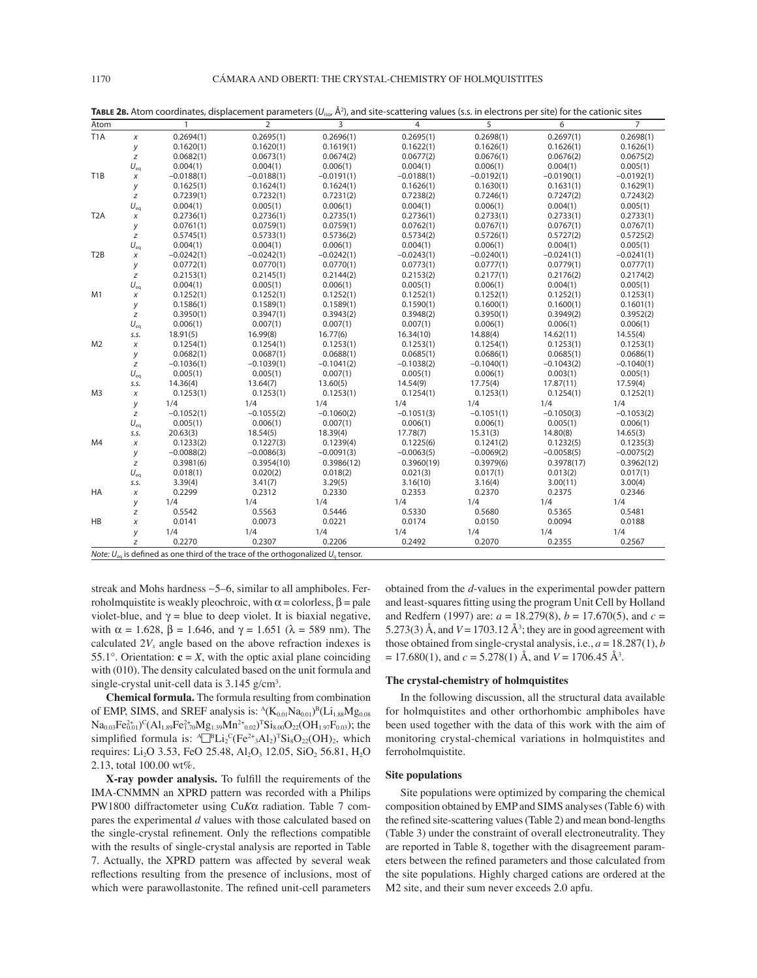| Atom             |              | $\mathbf{1}$ | $\overline{2}$                                                                             | 3            | $\overline{4}$ | 5            | 6            | $\overline{7}$ |
|------------------|--------------|--------------|--------------------------------------------------------------------------------------------|--------------|----------------|--------------|--------------|----------------|
| T <sub>1</sub> A | X            | 0.2694(1)    | 0.2695(1)                                                                                  | 0.2696(1)    | 0.2695(1)      | 0.2698(1)    | 0.2697(1)    | 0.2698(1)      |
|                  | у            | 0.1620(1)    | 0.1620(1)                                                                                  | 0.1619(1)    | 0.1622(1)      | 0.1626(1)    | 0.1626(1)    | 0.1626(1)      |
|                  | z            | 0.0682(1)    | 0.0673(1)                                                                                  | 0.0674(2)    | 0.0677(2)      | 0.0676(1)    | 0.0676(2)    | 0.0675(2)      |
|                  | $U_{\rm eq}$ | 0.004(1)     | 0.004(1)                                                                                   | 0.006(1)     | 0.004(1)       | 0.006(1)     | 0.004(1)     | 0.005(1)       |
| T <sub>1</sub> B | x            | $-0.0188(1)$ | $-0.0188(1)$                                                                               | $-0.0191(1)$ | $-0.0188(1)$   | $-0.0192(1)$ | $-0.0190(1)$ | $-0.0192(1)$   |
|                  | у            | 0.1625(1)    | 0.1624(1)                                                                                  | 0.1624(1)    | 0.1626(1)      | 0.1630(1)    | 0.1631(1)    | 0.1629(1)      |
|                  | z            | 0.7239(1)    | 0.7232(1)                                                                                  | 0.7231(2)    | 0.7238(2)      | 0.7246(1)    | 0.7247(2)    | 0.7243(2)      |
|                  | $U_{eq}$     | 0.004(1)     | 0.005(1)                                                                                   | 0.006(1)     | 0.004(1)       | 0.006(1)     | 0.004(1)     | 0.005(1)       |
| T <sub>2</sub> A | $\chi$       | 0.2736(1)    | 0.2736(1)                                                                                  | 0.2735(1)    | 0.2736(1)      | 0.2733(1)    | 0.2733(1)    | 0.2733(1)      |
|                  | y            | 0.0761(1)    | 0.0759(1)                                                                                  | 0.0759(1)    | 0.0762(1)      | 0.0767(1)    | 0.0767(1)    | 0.0767(1)      |
|                  | z            | 0.5745(1)    | 0.5733(1)                                                                                  | 0.5736(2)    | 0.5734(2)      | 0.5726(1)    | 0.5727(2)    | 0.5725(2)      |
|                  | $U_{eq}$     | 0.004(1)     | 0.004(1)                                                                                   | 0.006(1)     | 0.004(1)       | 0.006(1)     | 0.004(1)     | 0.005(1)       |
| T <sub>2</sub> B | x            | $-0.0242(1)$ | $-0.0242(1)$                                                                               | $-0.0242(1)$ | $-0.0243(1)$   | $-0.0240(1)$ | $-0.0241(1)$ | $-0.0241(1)$   |
|                  | у            | 0.0772(1)    | 0.0770(1)                                                                                  | 0.0770(1)    | 0.0773(1)      | 0.0777(1)    | 0.0779(1)    | 0.0777(1)      |
|                  | z            | 0.2153(1)    | 0.2145(1)                                                                                  | 0.2144(2)    | 0.2153(2)      | 0.2177(1)    | 0.2176(2)    | 0.2174(2)      |
|                  | $U_{eq}$     | 0.004(1)     | 0.005(1)                                                                                   | 0.006(1)     | 0.005(1)       | 0.006(1)     | 0.004(1)     | 0.005(1)       |
| M1               | $\chi$       | 0.1252(1)    | 0.1252(1)                                                                                  | 0.1252(1)    | 0.1252(1)      | 0.1252(1)    | 0.1252(1)    | 0.1253(1)      |
|                  | у            | 0.1586(1)    | 0.1589(1)                                                                                  | 0.1589(1)    | 0.1590(1)      | 0.1600(1)    | 0.1600(1)    | 0.1601(1)      |
|                  | z            | 0.3950(1)    | 0.3947(1)                                                                                  | 0.3943(2)    | 0.3948(2)      | 0.3950(1)    | 0.3949(2)    | 0.3952(2)      |
|                  | $U_{eq}$     | 0.006(1)     | 0.007(1)                                                                                   | 0.007(1)     | 0.007(1)       | 0.006(1)     | 0.006(1)     | 0.006(1)       |
|                  | S.S.         | 18.91(5)     | 16.99(8)                                                                                   | 16.77(6)     | 16.34(10)      | 14.88(4)     | 14.62(11)    | 14.55(4)       |
| M <sub>2</sub>   | $\chi$       | 0.1254(1)    | 0.1254(1)                                                                                  | 0.1253(1)    | 0.1253(1)      | 0.1254(1)    | 0.1253(1)    | 0.1253(1)      |
|                  | y            | 0.0682(1)    | 0.0687(1)                                                                                  | 0.0688(1)    | 0.0685(1)      | 0.0686(1)    | 0.0685(1)    | 0.0686(1)      |
|                  | Z            | $-0.1036(1)$ | $-0.1039(1)$                                                                               | $-0.1041(2)$ | $-0.1038(2)$   | $-0.1040(1)$ | $-0.1043(2)$ | $-0.1040(1)$   |
|                  | $U_{eq}$     | 0.005(1)     | 0.005(1)                                                                                   | 0.007(1)     | 0.005(1)       | 0.006(1)     | 0.003(1)     | 0.005(1)       |
|                  | S.S.         | 14.36(4)     | 13.64(7)                                                                                   | 13.60(5)     | 14.54(9)       | 17.75(4)     | 17.87(11)    | 17.59(4)       |
| M <sub>3</sub>   | $\chi$       | 0.1253(1)    | 0.1253(1)                                                                                  | 0.1253(1)    | 0.1254(1)      | 0.1253(1)    | 0.1254(1)    | 0.1252(1)      |
|                  | у            | 1/4          | 1/4                                                                                        | 1/4          | 1/4            | 1/4          | 1/4          | 1/4            |
|                  | z            | $-0.1052(1)$ | $-0.1055(2)$                                                                               | $-0.1060(2)$ | $-0.1051(3)$   | $-0.1051(1)$ | $-0.1050(3)$ | $-0.1053(2)$   |
|                  | $U_{eq}$     | 0.005(1)     | 0.006(1)                                                                                   | 0.007(1)     | 0.006(1)       | 0.006(1)     | 0.005(1)     | 0.006(1)       |
|                  | S.S.         | 20.63(3)     | 18.54(5)                                                                                   | 18.39(4)     | 17.78(7)       | 15.31(3)     | 14.80(8)     | 14.65(3)       |
| M4               | $\chi$       | 0.1233(2)    | 0.1227(3)                                                                                  | 0.1239(4)    | 0.1225(6)      | 0.1241(2)    | 0.1232(5)    | 0.1235(3)      |
|                  | у            | $-0.0088(2)$ | $-0.0086(3)$                                                                               | $-0.0091(3)$ | $-0.0063(5)$   | $-0.0069(2)$ | $-0.0058(5)$ | $-0.0075(2)$   |
|                  | Z            | 0.3981(6)    | 0.3954(10)                                                                                 | 0.3986(12)   | 0.3960(19)     | 0.3979(6)    | 0.3978(17)   | 0.3962(12)     |
|                  | $U_{eq}$     | 0.018(1)     | 0.020(2)                                                                                   | 0.018(2)     | 0.021(3)       | 0.017(1)     | 0.013(2)     | 0.017(1)       |
|                  | S.S.         | 3.39(4)      | 3.41(7)                                                                                    | 3.29(5)      | 3.16(10)       | 3.16(4)      | 3.00(11)     | 3.00(4)        |
| HA               | X            | 0.2299       | 0.2312                                                                                     | 0.2330       | 0.2353         | 0.2370       | 0.2375       | 0.2346         |
|                  | у            | 1/4          | 1/4                                                                                        | 1/4          | 1/4            | 1/4          | 1/4          | 1/4            |
|                  | z            | 0.5542       | 0.5563                                                                                     | 0.5446       | 0.5330         | 0.5680       | 0.5365       | 0.5481         |
| HB               | $\chi$       | 0.0141       | 0.0073                                                                                     | 0.0221       | 0.0174         | 0.0150       | 0.0094       | 0.0188         |
|                  | у            | 1/4          | 1/4                                                                                        | 1/4          | 1/4            | 1/4          | 1/4          | 1/4            |
|                  | z            | 0.2270       | 0.2307                                                                                     | 0.2206       | 0.2492         | 0.2070       | 0.2355       | 0.2567         |
|                  |              |              | Note: $U_{eq}$ is defined as one third of the trace of the orthogonalized $U_{ii}$ tensor. |              |                |              |              |                |

TABLE 2B. Atom coordinates, displacement parameters (U<sub>iso</sub>, Å<sup>2</sup>), and site-scattering values (s.s. in electrons per site) for the cationic sites

streak and Mohs hardness ∼5–6, similar to all amphiboles. Ferroholmquistite is weakly pleochroic, with  $\alpha$  = colorless,  $\beta$  = pale violet-blue, and  $γ = blue$  to deep violet. It is biaxial negative, with  $\alpha = 1.628$ ,  $\beta = 1.646$ , and  $\gamma = 1.651$  ( $\lambda = 589$  nm). The calculated  $2V_x$  angle based on the above refraction indexes is 55.1°. Orientation:  $\mathbf{c} = X$ , with the optic axial plane coinciding with (010). The density calculated based on the unit formula and single-crystal unit-cell data is 3.145 g/cm<sup>3</sup>.

**Chemical formula.** The formula resulting from combination of EMP, SIMS, and SREF analysis is:  $^{A}(K_{0.01}Na_{0.01})^{B}(Li_{1.88}Mg_{0.08})$  $Na_{0.03}Fe_{0.01}^{2+}C(Al_{1.89}Fe_{1.70}^{2+}Mg_{1.39}Mn^{2+}_{0.02})^{T}Si_{8.00}O_{22}(OH_{1.97}F_{0.03})$ ; the simplified formula is:  $\mathbb{E} \left[ E \text{Li}_2{}^c (Fe^{2+}{}_{3}Al_2) {}^T \text{Si}_8 \text{O}_{22} (OH)_2 \right]$ , which requires: Li<sub>2</sub>O 3.53, FeO 25.48, Al<sub>2</sub>O<sub>3</sub> 12.05, SiO<sub>2</sub> 56.81, H<sub>2</sub>O 2.13, total 100.00 wt%.

X-ray powder analysis. To fulfill the requirements of the IMA-CNMMN an XPRD pattern was recorded with a Philips PW1800 diffractometer using Cu*K*α radiation. Table 7 compares the experimental *d* values with those calculated based on the single-crystal refinement. Only the reflections compatible with the results of single-crystal analysis are reported in Table 7. Actually, the XPRD pattern was affected by several weak reflections resulting from the presence of inclusions, most of which were parawollastonite. The refined unit-cell parameters

obtained from the *d*-values in the experimental powder pattern and least-squares fitting using the program Unit Cell by Holland and Redfern (1997) are:  $a = 18.279(8)$ ,  $b = 17.670(5)$ , and  $c =$ 5.273(3)  $\AA$ , and  $V = 1703.12 \text{ Å}^3$ ; they are in good agreement with those obtained from single-crystal analysis, i.e., *a* = 18.287(1), *b*  $= 17.680(1)$ , and  $c = 5.278(1)$  Å, and  $V = 1706.45$  Å<sup>3</sup>.

### **The crystal-chemistry of holmquistites**

In the following discussion, all the structural data available for holmquistites and other orthorhombic amphiboles have been used together with the data of this work with the aim of monitoring crystal-chemical variations in holmquistites and ferroholmquistite.

## **Site populations**

Site populations were optimized by comparing the chemical composition obtained by EMP and SIMS analyses (Table 6) with the refined site-scattering values (Table 2) and mean bond-lengths (Table 3) under the constraint of overall electroneutrality. They are reported in Table 8, together with the disagreement parameters between the refined parameters and those calculated from the site populations. Highly charged cations are ordered at the M2 site, and their sum never exceeds 2.0 apfu.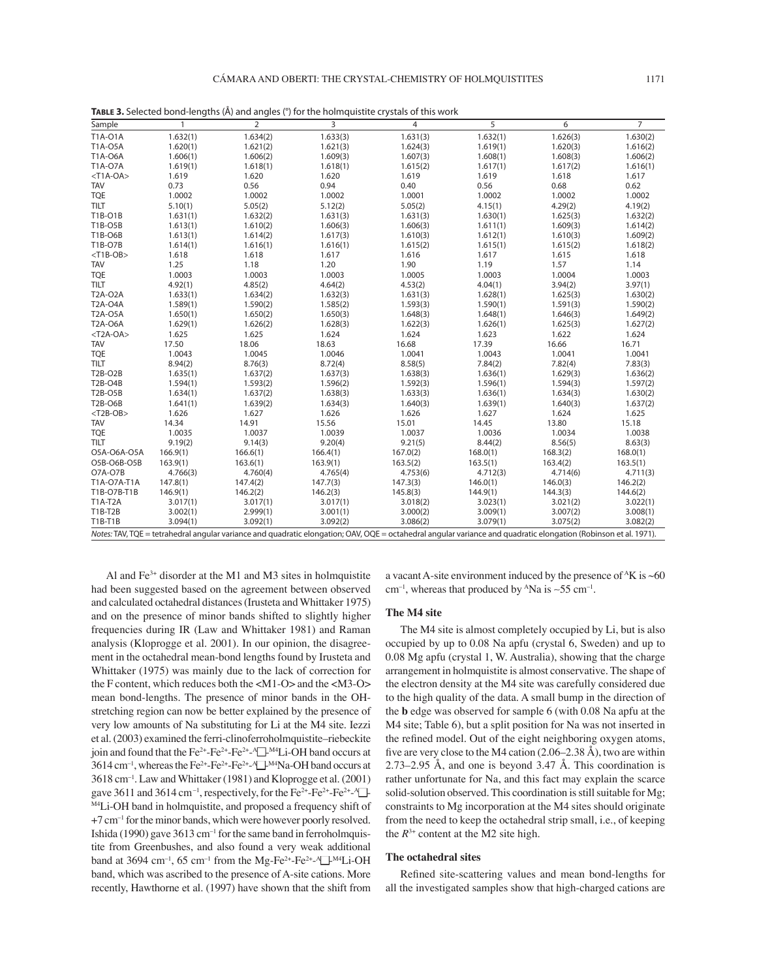| Sample         | $\mathbf{1}$ | $\overline{2}$                                                                                                                                                   | 3        | $\overline{4}$ | $\overline{5}$ | 6        | $\overline{7}$ |
|----------------|--------------|------------------------------------------------------------------------------------------------------------------------------------------------------------------|----------|----------------|----------------|----------|----------------|
| T1A-01A        | 1.632(1)     | 1.634(2)                                                                                                                                                         | 1.633(3) | 1.631(3)       | 1.632(1)       | 1.626(3) | 1.630(2)       |
| T1A-05A        | 1.620(1)     | 1.621(2)                                                                                                                                                         | 1.621(3) | 1.624(3)       | 1.619(1)       | 1.620(3) | 1.616(2)       |
| T1A-06A        | 1.606(1)     | 1.606(2)                                                                                                                                                         | 1.609(3) | 1.607(3)       | 1.608(1)       | 1.608(3) | 1.606(2)       |
| T1A-07A        | 1.619(1)     | 1.618(1)                                                                                                                                                         | 1.618(1) | 1.615(2)       | 1.617(1)       | 1.617(2) | 1.616(1)       |
| $<$ T1A-OA>    | 1.619        | 1.620                                                                                                                                                            | 1.620    | 1.619          | 1.619          | 1.618    | 1.617          |
| <b>TAV</b>     | 0.73         | 0.56                                                                                                                                                             | 0.94     | 0.40           | 0.56           | 0.68     | 0.62           |
| <b>TQE</b>     | 1.0002       | 1.0002                                                                                                                                                           | 1.0002   | 1.0001         | 1.0002         | 1.0002   | 1.0002         |
| <b>TILT</b>    | 5.10(1)      | 5.05(2)                                                                                                                                                          | 5.12(2)  | 5.05(2)        | 4.15(1)        | 4.29(2)  | 4.19(2)        |
| T1B-O1B        | 1.631(1)     | 1.632(2)                                                                                                                                                         | 1.631(3) | 1.631(3)       | 1.630(1)       | 1.625(3) | 1.632(2)       |
| T1B-O5B        | 1.613(1)     | 1.610(2)                                                                                                                                                         | 1.606(3) | 1.606(3)       | 1.611(1)       | 1.609(3) | 1.614(2)       |
| <b>T1B-O6B</b> | 1.613(1)     | 1.614(2)                                                                                                                                                         | 1.617(3) | 1.610(3)       | 1.612(1)       | 1.610(3) | 1.609(2)       |
| <b>T1B-O7B</b> | 1.614(1)     | 1.616(1)                                                                                                                                                         | 1.616(1) | 1.615(2)       | 1.615(1)       | 1.615(2) | 1.618(2)       |
| $<$ T1B-OB $>$ | 1.618        | 1.618                                                                                                                                                            | 1.617    | 1.616          | 1.617          | 1.615    | 1.618          |
| <b>TAV</b>     | 1.25         | 1.18                                                                                                                                                             | 1.20     | 1.90           | 1.19           | 1.57     | 1.14           |
| <b>TQE</b>     | 1.0003       | 1.0003                                                                                                                                                           | 1.0003   | 1.0005         | 1.0003         | 1.0004   | 1.0003         |
| <b>TILT</b>    | 4.92(1)      | 4.85(2)                                                                                                                                                          | 4.64(2)  | 4.53(2)        | 4.04(1)        | 3.94(2)  | 3.97(1)        |
| <b>T2A-O2A</b> | 1.633(1)     | 1.634(2)                                                                                                                                                         | 1.632(3) | 1.631(3)       | 1.628(1)       | 1.625(3) | 1.630(2)       |
| <b>T2A-O4A</b> | 1.589(1)     | 1.590(2)                                                                                                                                                         | 1.585(2) | 1.593(3)       | 1.590(1)       | 1.591(3) | 1.590(2)       |
| T2A-05A        | 1.650(1)     | 1.650(2)                                                                                                                                                         | 1.650(3) | 1.648(3)       | 1.648(1)       | 1.646(3) | 1.649(2)       |
| <b>T2A-O6A</b> | 1.629(1)     | 1.626(2)                                                                                                                                                         | 1.628(3) | 1.622(3)       | 1.626(1)       | 1.625(3) | 1.627(2)       |
| $<$ T2A-OA>    | 1.625        | 1.625                                                                                                                                                            | 1.624    | 1.624          | 1.623          | 1.622    | 1.624          |
| <b>TAV</b>     | 17.50        | 18.06                                                                                                                                                            | 18.63    | 16.68          | 17.39          | 16.66    | 16.71          |
| <b>TQE</b>     | 1.0043       | 1.0045                                                                                                                                                           | 1.0046   | 1.0041         | 1.0043         | 1.0041   | 1.0041         |
| <b>TILT</b>    | 8.94(2)      | 8.76(3)                                                                                                                                                          | 8.72(4)  | 8.58(5)        | 7.84(2)        | 7.82(4)  | 7.83(3)        |
| T2B-O2B        | 1.635(1)     | 1.637(2)                                                                                                                                                         | 1.637(3) | 1.638(3)       | 1.636(1)       | 1.629(3) | 1.636(2)       |
| T2B-O4B        | 1.594(1)     | 1.593(2)                                                                                                                                                         | 1.596(2) | 1.592(3)       | 1.596(1)       | 1.594(3) | 1.597(2)       |
| T2B-O5B        | 1.634(1)     | 1.637(2)                                                                                                                                                         | 1.638(3) | 1.633(3)       | 1.636(1)       | 1.634(3) | 1.630(2)       |
| T2B-O6B        | 1.641(1)     | 1.639(2)                                                                                                                                                         | 1.634(3) | 1.640(3)       | 1.639(1)       | 1.640(3) | 1.637(2)       |
| $<$ T2B-OB $>$ | 1.626        | 1.627                                                                                                                                                            | 1.626    | 1.626          | 1.627          | 1.624    | 1.625          |
| <b>TAV</b>     | 14.34        | 14.91                                                                                                                                                            | 15.56    | 15.01          | 14.45          | 13.80    | 15.18          |
| <b>TQE</b>     | 1.0035       | 1.0037                                                                                                                                                           | 1.0039   | 1.0037         | 1.0036         | 1.0034   | 1.0038         |
| <b>TILT</b>    | 9.19(2)      | 9.14(3)                                                                                                                                                          | 9.20(4)  | 9.21(5)        | 8.44(2)        | 8.56(5)  | 8.63(3)        |
| O5A-O6A-O5A    | 166.9(1)     | 166.6(1)                                                                                                                                                         | 166.4(1) | 167.0(2)       | 168.0(1)       | 168.3(2) | 168.0(1)       |
| O5B-O6B-O5B    | 163.9(1)     | 163.6(1)                                                                                                                                                         | 163.9(1) | 163.5(2)       | 163.5(1)       | 163.4(2) | 163.5(1)       |
| O7A-O7B        | 4.766(3)     | 4.760(4)                                                                                                                                                         | 4.765(4) | 4.753(6)       | 4.712(3)       | 4.714(6) | 4.711(3)       |
| T1A-O7A-T1A    | 147.8(1)     | 147.4(2)                                                                                                                                                         | 147.7(3) | 147.3(3)       | 146.0(1)       | 146.0(3) | 146.2(2)       |
| T1B-O7B-T1B    | 146.9(1)     | 146.2(2)                                                                                                                                                         | 146.2(3) | 145.8(3)       | 144.9(1)       | 144.3(3) | 144.6(2)       |
| <b>T1A-T2A</b> | 3.017(1)     | 3.017(1)                                                                                                                                                         | 3.017(1) | 3.018(2)       | 3.023(1)       | 3.021(2) | 3.022(1)       |
| T1B-T2B        | 3.002(1)     | 2.999(1)                                                                                                                                                         | 3.001(1) | 3.000(2)       | 3.009(1)       | 3.007(2) | 3.008(1)       |
| T1B-T1B        | 3.094(1)     | 3.092(1)                                                                                                                                                         | 3.092(2) | 3.086(2)       | 3.079(1)       | 3.075(2) | 3.082(2)       |
|                |              | Notes: TAV. TOE = tetrahedral angular variance and quadratic elongation: OAV. OOE = octahedral angular variance and quadratic elongation (Robinson et al. 1971). |          |                |                |          |                |

**TABLE 3.** Selected bond-lengths (Å) and angles (°) for the holmquistite crystals of this work

Al and  $Fe<sup>3+</sup>$  disorder at the M1 and M3 sites in holmquistite had been suggested based on the agreement between observed and calculated octahedral distances (Irusteta and Whittaker 1975) and on the presence of minor bands shifted to slightly higher frequencies during IR (Law and Whittaker 1981) and Raman analysis (Kloprogge et al. 2001). In our opinion, the disagreement in the octahedral mean-bond lengths found by Irusteta and Whittaker (1975) was mainly due to the lack of correction for the F content, which reduces both the <M1-O> and the <M3-O> mean bond-lengths. The presence of minor bands in the OHstretching region can now be better explained by the presence of very low amounts of Na substituting for Li at the M4 site. Iezzi et al. (2003) examined the ferri-clinoferroholmquistite–riebeckite join and found that the Fe<sup>2+</sup>-Fe<sup>2+</sup>-Fe<sup>2+</sup>-<sup>A</sup><sub>I</sub>-M<sup>4</sup>Li-OH band occurs at  $3614 \text{ cm}^{-1}$ , whereas the Fe<sup>2+</sup>-Fe<sup>2+</sup>-Fe<sup>2+</sup>-<sup>A</sup> $\rightarrow$ <sup>M4</sup>Na-OH band occurs at 3618 cm–1. Law and Whittaker (1981) and Kloprogge et al. (2001) gave 3611 and 3614 cm<sup>-1</sup>, respectively, for the  $Fe^{2+} - Fe^{2+} - Fe^{2+} -$ M4Li-OH band in holmquistite, and proposed a frequency shift of +7 cm–1 for the minor bands, which were however poorly resolved. Ishida (1990) gave  $3613 \text{ cm}^{-1}$  for the same band in ferroholmquistite from Greenbushes, and also found a very weak additional band at 3694 cm<sup>-1</sup>, 65 cm<sup>-1</sup> from the Mg-Fe<sup>2+</sup>-Fe<sup>2+</sup>-<sup>A</sup> $\rightarrow$ <sup>M4</sup>Li-OH band, which was ascribed to the presence of A-site cations. More recently, Hawthorne et al. (1997) have shown that the shift from

a vacant A-site environment induced by the presence of  ${}^{A}$ K is ~60 cm<sup>-1</sup>, whereas that produced by <sup>A</sup>Na is ~55 cm<sup>-1</sup>.

## **The M4 site**

The M4 site is almost completely occupied by Li, but is also occupied by up to 0.08 Na apfu (crystal 6, Sweden) and up to 0.08 Mg apfu (crystal 1, W. Australia), showing that the charge arrangement in holmquistite is almost conservative. The shape of the electron density at the M4 site was carefully considered due to the high quality of the data. A small bump in the direction of the **b** edge was observed for sample 6 (with 0.08 Na apfu at the M4 site; Table 6), but a split position for Na was not inserted in the refined model. Out of the eight neighboring oxygen atoms, five are very close to the M4 cation  $(2.06-2.38 \text{ Å})$ , two are within 2.73–2.95 Å, and one is beyond 3.47 Å. This coordination is rather unfortunate for Na, and this fact may explain the scarce solid-solution observed. This coordination is still suitable for Mg; constraints to Mg incorporation at the M4 sites should originate from the need to keep the octahedral strip small, i.e., of keeping the  $R^{3+}$  content at the M2 site high.

## **The octahedral sites**

Refined site-scattering values and mean bond-lengths for all the investigated samples show that high-charged cations are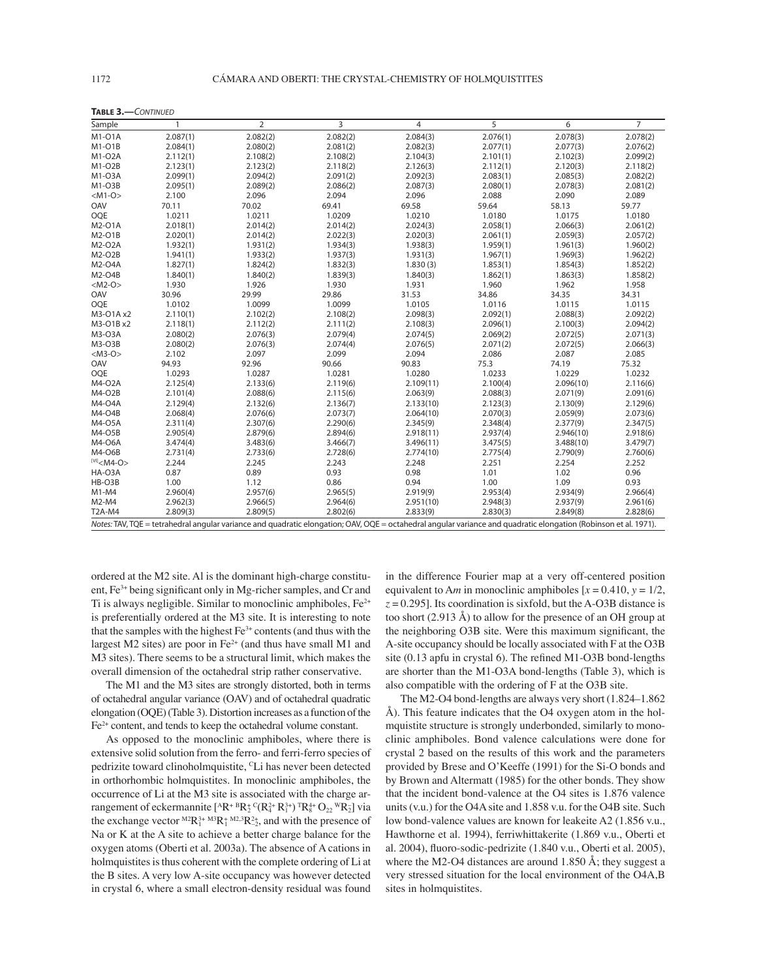| Sample                  | $\mathbf{1}$ | $\overline{2}$                                                                                                                                                   | 3        | 4         | 5        | 6         | $\overline{7}$ |
|-------------------------|--------------|------------------------------------------------------------------------------------------------------------------------------------------------------------------|----------|-----------|----------|-----------|----------------|
| M1-01A                  | 2.087(1)     | 2.082(2)                                                                                                                                                         | 2.082(2) | 2.084(3)  | 2.076(1) | 2.078(3)  | 2.078(2)       |
| $M1-O1B$                | 2.084(1)     | 2.080(2)                                                                                                                                                         | 2.081(2) | 2.082(3)  | 2.077(1) | 2.077(3)  | 2.076(2)       |
| M1-O2A                  | 2.112(1)     | 2.108(2)                                                                                                                                                         | 2.108(2) | 2.104(3)  | 2.101(1) | 2.102(3)  | 2.099(2)       |
| M1-O2B                  | 2.123(1)     | 2.123(2)                                                                                                                                                         | 2.118(2) | 2.126(3)  | 2.112(1) | 2.120(3)  | 2.118(2)       |
| M1-03A                  | 2.099(1)     | 2.094(2)                                                                                                                                                         | 2.091(2) | 2.092(3)  | 2.083(1) | 2.085(3)  | 2.082(2)       |
| M1-O3B                  | 2.095(1)     | 2.089(2)                                                                                                                                                         | 2.086(2) | 2.087(3)  | 2.080(1) | 2.078(3)  | 2.081(2)       |
| $<$ M1-O $>$            | 2.100        | 2.096                                                                                                                                                            | 2.094    | 2.096     | 2.088    | 2.090     | 2.089          |
| OAV                     | 70.11        | 70.02                                                                                                                                                            | 69.41    | 69.58     | 59.64    | 58.13     | 59.77          |
| <b>OQE</b>              | 1.0211       | 1.0211                                                                                                                                                           | 1.0209   | 1.0210    | 1.0180   | 1.0175    | 1.0180         |
| M2-O1A                  | 2.018(1)     | 2.014(2)                                                                                                                                                         | 2.014(2) | 2.024(3)  | 2.058(1) | 2.066(3)  | 2.061(2)       |
| $M2-O1B$                | 2.020(1)     | 2.014(2)                                                                                                                                                         | 2.022(3) | 2.020(3)  | 2.061(1) | 2.059(3)  | 2.057(2)       |
| M2-O2A                  | 1.932(1)     | 1.931(2)                                                                                                                                                         | 1.934(3) | 1.938(3)  | 1.959(1) | 1.961(3)  | 1.960(2)       |
| M2-O2B                  | 1.941(1)     | 1.933(2)                                                                                                                                                         | 1.937(3) | 1.931(3)  | 1.967(1) | 1.969(3)  | 1.962(2)       |
| M2-O4A                  | 1.827(1)     | 1.824(2)                                                                                                                                                         | 1.832(3) | 1.830(3)  | 1.853(1) | 1.854(3)  | 1.852(2)       |
| M2-O4B                  | 1.840(1)     | 1.840(2)                                                                                                                                                         | 1.839(3) | 1.840(3)  | 1.862(1) | 1.863(3)  | 1.858(2)       |
| $<$ M2-O>               | 1.930        | 1.926                                                                                                                                                            | 1.930    | 1.931     | 1.960    | 1.962     | 1.958          |
| OAV                     | 30.96        | 29.99                                                                                                                                                            | 29.86    | 31.53     | 34.86    | 34.35     | 34.31          |
| <b>OQE</b>              | 1.0102       | 1.0099                                                                                                                                                           | 1.0099   | 1.0105    | 1.0116   | 1.0115    | 1.0115         |
| M3-O1A x2               | 2.110(1)     | 2.102(2)                                                                                                                                                         | 2.108(2) | 2.098(3)  | 2.092(1) | 2.088(3)  | 2.092(2)       |
| M3-O1B x2               | 2.118(1)     | 2.112(2)                                                                                                                                                         | 2.111(2) | 2.108(3)  | 2.096(1) | 2.100(3)  | 2.094(2)       |
| M3-O3A                  | 2.080(2)     | 2.076(3)                                                                                                                                                         | 2.079(4) | 2.074(5)  | 2.069(2) | 2.072(5)  | 2.071(3)       |
| M3-O3B                  | 2.080(2)     | 2.076(3)                                                                                                                                                         | 2.074(4) | 2.076(5)  | 2.071(2) | 2.072(5)  | 2.066(3)       |
| $<$ M3-O $>$            | 2.102        | 2.097                                                                                                                                                            | 2.099    | 2.094     | 2.086    | 2.087     | 2.085          |
| OAV                     | 94.93        | 92.96                                                                                                                                                            | 90.66    | 90.83     | 75.3     | 74.19     | 75.32          |
| <b>OQE</b>              | 1.0293       | 1.0287                                                                                                                                                           | 1.0281   | 1.0280    | 1.0233   | 1.0229    | 1.0232         |
| M4-O2A                  | 2.125(4)     | 2.133(6)                                                                                                                                                         | 2.119(6) | 2.109(11) | 2.100(4) | 2.096(10) | 2.116(6)       |
| M4-O2B                  | 2.101(4)     | 2.088(6)                                                                                                                                                         | 2.115(6) | 2.063(9)  | 2.088(3) | 2.071(9)  | 2.091(6)       |
| M4-04A                  | 2.129(4)     | 2.132(6)                                                                                                                                                         | 2.136(7) | 2.133(10) | 2.123(3) | 2.130(9)  | 2.129(6)       |
| M4-O4B                  | 2.068(4)     | 2.076(6)                                                                                                                                                         | 2.073(7) | 2.064(10) | 2.070(3) | 2.059(9)  | 2.073(6)       |
| M4-05A                  | 2.311(4)     | 2.307(6)                                                                                                                                                         | 2.290(6) | 2.345(9)  | 2.348(4) | 2.377(9)  | 2.347(5)       |
| M4-O5B                  | 2.905(4)     | 2.879(6)                                                                                                                                                         | 2.894(6) | 2.918(11) | 2.937(4) | 2.946(10) | 2.918(6)       |
| M4-06A                  | 3.474(4)     | 3.483(6)                                                                                                                                                         | 3.466(7) | 3.496(11) | 3.475(5) | 3.488(10) | 3.479(7)       |
| M4-O6B                  | 2.731(4)     | 2.733(6)                                                                                                                                                         | 2.728(6) | 2.774(10) | 2.775(4) | 2.790(9)  | 2.760(6)       |
| $^{[VI]}$ <m4-o></m4-o> | 2.244        | 2.245                                                                                                                                                            | 2.243    | 2.248     | 2.251    | 2.254     | 2.252          |
| HA-O3A                  | 0.87         | 0.89                                                                                                                                                             | 0.93     | 0.98      | 1.01     | 1.02      | 0.96           |
| HB-O3B                  | 1.00         | 1.12                                                                                                                                                             | 0.86     | 0.94      | 1.00     | 1.09      | 0.93           |
| M1-M4                   | 2.960(4)     | 2.957(6)                                                                                                                                                         | 2.965(5) | 2.919(9)  | 2.953(4) | 2.934(9)  | 2.966(4)       |
| M2-M4                   | 2.962(3)     | 2.966(5)                                                                                                                                                         | 2.964(6) | 2.951(10) | 2.948(3) | 2.937(9)  | 2.961(6)       |
| T2A-M4                  | 2.809(3)     | 2.809(5)                                                                                                                                                         | 2.802(6) | 2.833(9)  | 2.830(3) | 2.849(8)  | 2.828(6)       |
|                         |              | Notes: TAV, TQE = tetrahedral angular variance and quadratic elongation; OAV, OQE = octahedral angular variance and quadratic elongation (Robinson et al. 1971). |          |           |          |           |                |

**TABLE 3.—**CONTINUED

ordered at the M2 site. Al is the dominant high-charge constituent,  $Fe<sup>3+</sup>$  being significant only in Mg-richer samples, and Cr and Ti is always negligible. Similar to monoclinic amphiboles,  $Fe<sup>2+</sup>$ is preferentially ordered at the M3 site. It is interesting to note that the samples with the highest  $Fe<sup>3+</sup>$  contents (and thus with the largest M2 sites) are poor in  $Fe<sup>2+</sup>$  (and thus have small M1 and M3 sites). There seems to be a structural limit, which makes the overall dimension of the octahedral strip rather conservative.

The M1 and the M3 sites are strongly distorted, both in terms of octahedral angular variance (OAV) and of octahedral quadratic elongation (OQE) (Table 3). Distortion increases as a function of the Fe2+ content, and tends to keep the octahedral volume constant.

As opposed to the monoclinic amphiboles, where there is extensive solid solution from the ferro- and ferri-ferro species of pedrizite toward clinoholmquistite, CLi has never been detected in orthorhombic holmquistites. In monoclinic amphiboles, the occurrence of Li at the M3 site is associated with the charge arrangement of eckermannite  $[{}^A R^+{}^B R_2^+{}^C (R_4^{2+} R_1^{3+})^T R_8^{4+} O_{22}^{\vphantom{1}} W R_2^-]$  via the exchange vector  ${}^{M2}R_1^{3+} {}^{M3}R_1^{+} {}^{M2,3}R_{-2}^{2}$ , and with the presence of Na or K at the A site to achieve a better charge balance for the oxygen atoms (Oberti et al. 2003a). The absence of A cations in holmquistites is thus coherent with the complete ordering of Li at the B sites. A very low A-site occupancy was however detected in crystal 6, where a small electron-density residual was found

in the difference Fourier map at a very off-centered position equivalent to A*m* in monoclinic amphiboles  $[x = 0.410, y = 1/2,$  $z = 0.295$ ]. Its coordination is sixfold, but the A-O3B distance is too short (2.913 Å) to allow for the presence of an OH group at the neighboring O3B site. Were this maximum significant, the A-site occupancy should be locally associated with F at the O3B site  $(0.13$  apfu in crystal 6). The refined M1-O3B bond-lengths are shorter than the M1-O3A bond-lengths (Table 3), which is also compatible with the ordering of F at the O3B site.

The M2-O4 bond-lengths are always very short (1.824–1.862 Å). This feature indicates that the O4 oxygen atom in the holmquistite structure is strongly underbonded, similarly to monoclinic amphiboles. Bond valence calculations were done for crystal 2 based on the results of this work and the parameters provided by Brese and O'Keeffe (1991) for the Si-O bonds and by Brown and Altermatt (1985) for the other bonds. They show that the incident bond-valence at the O4 sites is 1.876 valence units (v.u.) for the O4A site and 1.858 v.u. for the O4B site. Such low bond-valence values are known for leakeite A2 (1.856 v.u., Hawthorne et al. 1994), ferriwhittakerite (1.869 v.u., Oberti et al. 2004), fluoro-sodic-pedrizite (1.840 v.u., Oberti et al. 2005), where the M2-O4 distances are around 1.850 Å; they suggest a very stressed situation for the local environment of the O4A,B sites in holmquistites.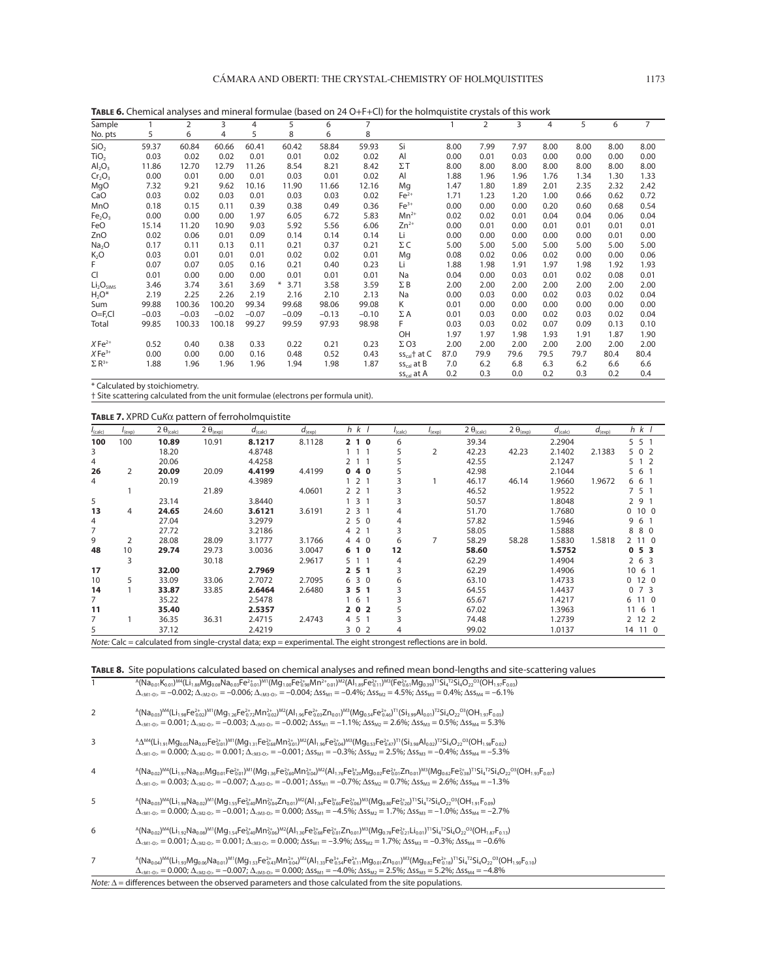| TABLE 6. Chemical analyses and mineral formulae (based on 24 O+F+Cl) for the holmquistite crystals of this work |  |  |
|-----------------------------------------------------------------------------------------------------------------|--|--|
|                                                                                                                 |  |  |
|                                                                                                                 |  |  |

| Sample                            |         | 2       | 3       | 4       | 5              | 6       | 7       |                 |      | $\overline{2}$ | 3    | 4    | 5    | 6    | 7    |
|-----------------------------------|---------|---------|---------|---------|----------------|---------|---------|-----------------|------|----------------|------|------|------|------|------|
| No. pts                           | 5       | 6       | 4       | 5       | 8              | 6       | 8       |                 |      |                |      |      |      |      |      |
| SiO <sub>2</sub>                  | 59.37   | 60.84   | 60.66   | 60.41   | 60.42          | 58.84   | 59.93   | Si              | 8.00 | 7.99           | 7.97 | 8.00 | 8.00 | 8.00 | 8.00 |
| TiO <sub>2</sub>                  | 0.03    | 0.02    | 0.02    | 0.01    | 0.01           | 0.02    | 0.02    | Al              | 0.00 | 0.01           | 0.03 | 0.00 | 0.00 | 0.00 | 0.00 |
| $\mathsf{Al}_2\mathsf{O}_3$       | 11.86   | 12.70   | 12.79   | 11.26   | 8.54           | 8.21    | 8.42    | $\Sigma$ T      | 8.00 | 8.00           | 8.00 | 8.00 | 8.00 | 8.00 | 8.00 |
| Cr <sub>2</sub> O <sub>3</sub>    | 0.00    | 0.01    | 0.00    | 0.01    | 0.03           | 0.01    | 0.02    | AI              | 1.88 | 1.96           | 1.96 | 1.76 | 1.34 | 1.30 | 1.33 |
| MgO                               | 7.32    | 9.21    | 9.62    | 10.16   | 11.90          | 11.66   | 12.16   | Mg              | 1.47 | 1.80           | 1.89 | 2.01 | 2.35 | 2.32 | 2.42 |
| CaO                               | 0.03    | 0.02    | 0.03    | 0.01    | 0.03           | 0.03    | 0.02    | $Fe2+$          | 1.71 | 1.23           | 1.20 | 1.00 | 0.66 | 0.62 | 0.72 |
| MnO                               | 0.18    | 0.15    | 0.11    | 0.39    | 0.38           | 0.49    | 0.36    | $Fe3+$          | 0.00 | 0.00           | 0.00 | 0.20 | 0.60 | 0.68 | 0.54 |
| Fe <sub>2</sub> O <sub>3</sub>    | 0.00    | 0.00    | 0.00    | 1.97    | 6.05           | 6.72    | 5.83    | $Mn^{2+}$       | 0.02 | 0.02           | 0.01 | 0.04 | 0.04 | 0.06 | 0.04 |
| FeO                               | 15.14   | 11.20   | 10.90   | 9.03    | 5.92           | 5.56    | 6.06    | $Zn^{2+}$       | 0.00 | 0.01           | 0.00 | 0.01 | 0.01 | 0.01 | 0.01 |
| ZnO                               | 0.02    | 0.06    | 0.01    | 0.09    | 0.14           | 0.14    | 0.14    | Li              | 0.00 | 0.00           | 0.00 | 0.00 | 0.00 | 0.01 | 0.00 |
| Na <sub>2</sub> O                 | 0.17    | 0.11    | 0.13    | 0.11    | 0.21           | 0.37    | 0.21    | ΣC              | 5.00 | 5.00           | 5.00 | 5.00 | 5.00 | 5.00 | 5.00 |
| $K_2O$                            | 0.03    | 0.01    | 0.01    | 0.01    | 0.02           | 0.02    | 0.01    | Mg              | 0.08 | 0.02           | 0.06 | 0.02 | 0.00 | 0.00 | 0.06 |
| F                                 | 0.07    | 0.07    | 0.05    | 0.16    | 0.21           | 0.40    | 0.23    | Li              | 1.88 | 1.98           | 1.91 | 1.97 | 1.98 | 1.92 | 1.93 |
| <b>CI</b>                         | 0.01    | 0.00    | 0.00    | 0.00    | 0.01           | 0.01    | 0.01    | Na              | 0.04 | 0.00           | 0.03 | 0.01 | 0.02 | 0.08 | 0.01 |
| Li <sub>2</sub> O <sub>SIMS</sub> | 3.46    | 3.74    | 3.61    | 3.69    | $\ast$<br>3.71 | 3.58    | 3.59    | ΣΒ              | 2.00 | 2.00           | 2.00 | 2.00 | 2.00 | 2.00 | 2.00 |
| $H_2O^*$                          | 2.19    | 2.25    | 2.26    | 2.19    | 2.16           | 2.10    | 2.13    | Na              | 0.00 | 0.03           | 0.00 | 0.02 | 0.03 | 0.02 | 0.04 |
| Sum                               | 99.88   | 100.36  | 100.20  | 99.34   | 99.68          | 98.06   | 99.08   | K               | 0.01 | 0.00           | 0.00 | 0.00 | 0.00 | 0.00 | 0.00 |
| $O = F, Cl$                       | $-0.03$ | $-0.03$ | $-0.02$ | $-0.07$ | $-0.09$        | $-0.13$ | $-0.10$ | $\Sigma$ A      | 0.01 | 0.03           | 0.00 | 0.02 | 0.03 | 0.02 | 0.04 |
| Total                             | 99.85   | 100.33  | 100.18  | 99.27   | 99.59          | 97.93   | 98.98   | F.              | 0.03 | 0.03           | 0.02 | 0.07 | 0.09 | 0.13 | 0.10 |
|                                   |         |         |         |         |                |         |         | OH              | 1.97 | 1.97           | 1.98 | 1.93 | 1.91 | 1.87 | 1.90 |
| $X \, \text{Fe}^{2+}$             | 0.52    | 0.40    | 0.38    | 0.33    | 0.22           | 0.21    | 0.23    | $\Sigma$ O3     | 2.00 | 2.00           | 2.00 | 2.00 | 2.00 | 2.00 | 2.00 |
| $X \text{Fe}^{3+}$                | 0.00    | 0.00    | 0.00    | 0.16    | 0.48           | 0.52    | 0.43    | $ss_{cal}$ at C | 87.0 | 79.9           | 79.6 | 79.5 | 79.7 | 80.4 | 80.4 |
| $\Sigma$ R <sup>3+</sup>          | 1.88    | 1.96    | 1.96    | 1.96    | 1.94           | 1.98    | 1.87    | $SS_{cal}$ at B | 7.0  | 6.2            | 6.8  | 6.3  | 6.2  | 6.6  | 6.6  |
|                                   |         |         |         |         |                |         |         | $ss_{cal}$ at A | 0.2  | 0.3            | 0.0  | 0.2  | 0.3  | 0.2  | 0.4  |

\* Calculated by stoichiometry.

† Site scattering calculated from the unit formulae (electrons per formula unit).

#### **TABLE 7.** XPRD CuKα pattern of ferroholmquistite

| $I_{\text{(calc)}}$ | $I_{(exp)}$ | 2 $\theta_{(calc)}$ | 2 $\theta_{(exp)}$ | $d_{\text{(calc)}}$                                                                                                | $d_{(exp)}$ | $h \, k \, l$  | $I_{\text{(calc)}}$ | $I_{(exp)}$ | 2 $\theta_{(calc)}$ | $2 \theta_{(exp)}$ | $d_{\text{(calc)}}$ | $d_{(exp)}$ | $h \, k \, l$ |
|---------------------|-------------|---------------------|--------------------|--------------------------------------------------------------------------------------------------------------------|-------------|----------------|---------------------|-------------|---------------------|--------------------|---------------------|-------------|---------------|
| 100                 | 100         | 10.89               | 10.91              | 8.1217                                                                                                             | 8.1128      | 2 1 0          | 6                   |             | 39.34               |                    | 2.2904              |             | 551           |
| 3                   |             | 18.20               |                    | 4.8748                                                                                                             |             | $1\quad1$      | 5                   | 2           | 42.23               | 42.23              | 2.1402              | 2.1383      | 5 0 2         |
| 4                   |             | 20.06               |                    | 4.4258                                                                                                             |             | 1 1            | 5                   |             | 42.55               |                    | 2.1247              |             | 5 1 2         |
| 26                  | 2           | 20.09               | 20.09              | 4.4199                                                                                                             | 4.4199      | 040            |                     |             | 42.98               |                    | 2.1044              |             | 5 6 1         |
| 4                   |             | 20.19               |                    | 4.3989                                                                                                             |             | 2 <sub>1</sub> | 3                   |             | 46.17               | 46.14              | 1.9660              | 1.9672      | 6 6 1         |
|                     |             |                     | 21.89              |                                                                                                                    | 4.0601      | 2 2 1          |                     |             | 46.52               |                    | 1.9522              |             | 7 5 1         |
| 5                   |             | 23.14               |                    | 3.8440                                                                                                             |             | 3 1            | 3                   |             | 50.57               |                    | 1.8048              |             | 291           |
| 13                  | 4           | 24.65               | 24.60              | 3.6121                                                                                                             | 3.6191      | 231            | 4                   |             | 51.70               |                    | 1.7680              |             | 0, 10, 0      |
| 4                   |             | 27.04               |                    | 3.2979                                                                                                             |             | 250            | 4                   |             | 57.82               |                    | 1.5946              |             | 9 6 1         |
| 7                   |             | 27.72               |                    | 3.2186                                                                                                             |             | 4 2 1          | 3                   |             | 58.05               |                    | 1.5888              |             | 880           |
| 9                   | 2           | 28.08               | 28.09              | 3.1777                                                                                                             | 3.1766      | 4 4 0          | 6                   | 7           | 58.29               | 58.28              | 1.5830              | 1.5818      | 2 11 0        |
| 48                  | 10          | 29.74               | 29.73              | 3.0036                                                                                                             | 3.0047      | 610            | 12                  |             | 58.60               |                    | 1.5752              |             | 053           |
|                     | 3           |                     | 30.18              |                                                                                                                    | 2.9617      | 5 1 1          | 4                   |             | 62.29               |                    | 1.4904              |             | 263           |
| 17                  |             | 32.00               |                    | 2.7969                                                                                                             |             | 2 5 1          | 3                   |             | 62.29               |                    | 1.4906              |             | $10 \t6 \t1$  |
| 10                  | 5           | 33.09               | 33.06              | 2.7072                                                                                                             | 2.7095      | 6 3 0          | 6                   |             | 63.10               |                    | 1.4733              |             | 0120          |
| 14                  |             | 33.87               | 33.85              | 2.6464                                                                                                             | 2.6480      | 3 5 1          | 3                   |             | 64.55               |                    | 1.4437              |             | $0 \t7 \t3$   |
| 7                   |             | 35.22               |                    | 2.5478                                                                                                             |             | 6 1            |                     |             | 65.67               |                    | 1.4217              |             | 6 11 0        |
| 11                  |             | 35.40               |                    | 2.5357                                                                                                             |             | 202            |                     |             | 67.02               |                    | 1.3963              |             | 11 6 1        |
| 7                   |             | 36.35               | 36.31              | 2.4715                                                                                                             | 2.4743      | 4 5 1          | 3                   |             | 74.48               |                    | 1.2739              |             | 2 12 2        |
| 5                   |             | 37.12               |                    | 2.4219                                                                                                             |             | 3 0 2          | 4                   |             | 99.02               |                    | 1.0137              |             | 14 11 0       |
|                     |             |                     |                    | Note: Calc = calculated from single-crystal data; exp = experimental. The eight strongest reflections are in bold. |             |                |                     |             |                     |                    |                     |             |               |

TABLE 8. Site populations calculated based on chemical analyses and refined mean bond-lengths and site-scattering values

1  $A(Na_{0.01}K_{0.01})^{M4}(Li_{1.88}Mg_{0.08}Na_{0.03}Fe_{0.01}^{2}^{2}Mm^{2}a_{0.01}^{2}Mm^{2}a_{1.89}Fe_{0.11}^{2}M^{3}(Fe_{0.61}^{2}Mg_{0.39})^{71}Si_{4}^{72}Si_{4}O_{22}^{03}(OH_{1.97}Fe_{0.03}^{2}Mm^{2}a_{1.81}^{2}Na_{4}^{2}Ca_{4}^{2}Na_{4}^{2}Na_{4}^{2}Ca_{4}^{2}Na_{4}^{2}Ca_{4}^{$  $Δ<sub>KM1-O</sub> = -0.002; Δ<sub>KM2-O</sub> = -0.006; Δ<sub>KM3-O</sub> = -0.004; Δs<sub>M1</sub> = -0.4%; Δs<sub>M2</sub> = 4.5%; Δs<sub>M3</sub> = 0.4%; Δs<sub>M4</sub> = -6.1%$ 

- $2 \qquad \qquad {}^{\mathsf{A}}(\mathsf{Na}_{0.03})^{\mathsf{M}4}(\mathsf{Li}_{1.98}\mathsf{Fe}_{0.2}^{2\mathsf{M}1}(\mathsf{M}g_{1.26}\mathsf{Fe}_{0.72}^{2\mathsf{M}}\mathsf{M}^{2}(\mathsf{A1}_{1.96}\mathsf{Fe}_{0.9}^{2\mathsf{L}2}\mathsf{Zn}_{0.01})^{\mathsf{M}3}(\mathsf{M}g_{0.54}\mathsf{Fe}_{0.46}^{2\mathsf{L}})^{\mathsf{T}1}(\mathsf{Si}_{3.99}\mathsf{AI}_{0.01})^{\math$  $Δ<sub>≤M1-O></sub> = 0.001; Δ<sub>≤M2-O></sub> = -0.003; Δ<sub>≤M3-O></sub> = -0.002; Δss<sub>M1</sub> = -1.1%; Δss<sub>M2</sub> = 2.6%; Δss<sub>M3</sub> = 0.5%; Δss<sub>M4</sub> = 5.3%$
- 3  $A\Delta^{MA}(\text{Li}_{1,91}\text{Mg}_{0.05}\text{Na}_{0.03}\text{Fe}_{0.01}^{2})^{MM} (Mg_{1.31}\text{Fe}_{0.68}^{2+}Mn_{0.01}^{2})^{MA} (AI_{1.96}\text{Fe}_{0.94}^{2})^{MA} (Mg_{0.53}\text{Fe}_{0.47}^{2})^{T1} (Si_{3.98}Al_{0.02})^{T2}Si_{4}O_{22}^{O3} (OH_{1.96}\text{Fe}_{0.02})^{T1}$  $\Delta_{\text{cM1-O}} = 0.000$ ;  $\Delta_{\text{cM2-O}} = 0.001$ ;  $\Delta_{\text{cM3-O}} = -0.001$ ;  $\Delta$ SS<sub>M1</sub> = -0.3%;  $\Delta$ SS<sub>M2</sub> = 2.5%;  $\Delta$ SS<sub>M3</sub> = -0.4%;  $\Delta$ SS<sub>M4</sub> = -5.3%
- ${}^{4}$ (Na<sub>0.02</sub>)<sup>M4</sup>(Li<sub>1.97</sub>Na<sub>0.01</sub>Mg<sub>0.01</sub>Fe<sup>2</sup><sub>0.01</sub>)<sup>M1</sup>(Mg<sub>1.36</sub>Fe<sup>2</sup><sub>0.60</sub>Mn<sup>2</sup><sub>0.41</sub>)<sup>M2</sup>(Al<sub>1.76</sub>Fe<sup>3</sup>+<sub>0</sub>2Mg<sub>0.02</sub>Fe<sup>2+</sup><sub>0.1</sub>0<sub>1</sub><sup>2</sup>M3(Mg<sub>0.62</sub>Fe<sup>2+</sup><sub>0.38</sub>Ti<sup>1</sup>Si<sub>4</sub><sup>T2</sup>Si<sub>4</sub>O<sub>22</sub><sup>O3</sup>(OH<sub>1.93</sub>F<sub>0.07</sub>)  $\Delta_{\text{cM1-O}>}=0.003; \Delta_{\text{cM2-O}>}=0.007; \Delta_{\text{cM3-O}>}=0.001; \Delta s s_{\text{M1}}=-0.7\%; \Delta s s_{\text{M2}}=0.7\%; \Delta s s_{\text{M3}}=2.6\%; \Delta s s_{\text{M4}}=-1.3\%$
- $^4$ (Na<sub>0.03</sub>)<sup>M4</sup>(Li<sub>1.98</sub>Na<sub>0.02</sub>)<sup>M1</sup>(Mg<sub>1.55</sub>Fe<sup>2</sup><sub>+40</sub>Mn<sup>2</sup><sub>t04</sub>Zn<sub>0.01</sub>)<sup>M2</sup>(Al<sub>1.34</sub>Fe<sup>3</sup><sub>+60</sub><sup>1</sup><sub>606</sub>)<sup>M3</sup>(Mg<sub>0.80</sub>Fe<sup>2</sup><sub>+20</sub><sup>T1</sup>Si<sub>4</sub><sup>T2</sup>Si<sub>4</sub>O<sub>22</sub><sup>03</sup>(OH<sub>1.91</sub>F<sub>0.09</sub>)  $Δ<sub>≤M1-O></sub> = 0.000; Δ<sub>≤M2-O> = -0.001; Δ<sub>≤M3-O></sub> = 0.000; Δss<sub>M1</sub> = -4.5%; Δss<sub>M2</sub> = 1.7%; Δss<sub>M3</sub> = -1.0%; Δss<sub>M4</sub> = -2.7%</sub>$
- $^4$ (Na<sub>0.02</sub>)<sup>M4</sup>(Li<sub>1.92</sub>Na<sub>0.08</sub>)<sup>M1</sup>(Mg<sub>1.54</sub>Fe<sup>2</sup><sub>040</sub>Mn<sup>2</sup><sub>006</sub>)<sup>M2</sup>(Al<sub>1.30</sub>Fe<sup>3</sup><sub>068</sub>Fe<sup>2</sup><sub>001</sub>Zn<sub>0.01</sub>)<sup>M3</sup>(Mg<sub>0.78</sub>Fe<sup>2</sup><sub>021</sub>Li<sub>0.01</sub>)<sup>T1</sup>Si<sub>4</sub><sup>T2</sup>Si<sub>4</sub>O<sub>22</sub><sup>03</sup>(OH<sub>1.87</sub>F<sub>0.13</sub>)  $\Delta_{\text{cM1-O>}} = 0.001; \Delta_{\text{cM2-O>}} = 0.001; \Delta_{\text{cM3-O>}} = 0.000; \Delta s_{\text{M1}} = -3.9\%; \Delta s_{\text{M2}} = 1.7\%; \Delta s_{\text{M3}} = -0.3\%; \Delta s_{\text{M4}} = -0.6\%$
- $7\,$   $^{\rm A}({\rm Na}_{0.04})^{\rm M4}({\rm Li}_{1.93}{\rm Mg}_{0.06}{\rm Na}_{0.01})^{\rm M1}({\rm Mg}_{1.53}{\rm Fe}_{0.43}^{\rm 4} {\rm Mn}_{0.49}^{\rm 2.4}^{\rm M2}({\rm Al}_{1.33}{\rm Fe}_{0.54}^{\rm 3.4}{\rm Fe}_{0.11}^{\rm 2.4} {\rm Mg}_{0.01} {\rm Zn}_{0.01}^{\rm 2.4} {\rm Na}_{0.01}^{\rm 2.4} {\rm Na}_{0.01} {\rm Fe}_{0.18}^{\rm 2$  $\Delta_{\text{cM1-O>}} = 0.000; \Delta_{\text{cM2-O>}} = -0.007; \Delta_{\text{cM3-O>}} = 0.000; \Delta s_{\text{M1}} = -4.0\%; \Delta s_{\text{M2}} = 2.5\%; \Delta s_{\text{SM3}} = 5.2\%; \Delta s_{\text{M4}} = -4.8\%$  $\overline{Note: \Delta} =$  differences between the observed parameters and those calculated from the site populations.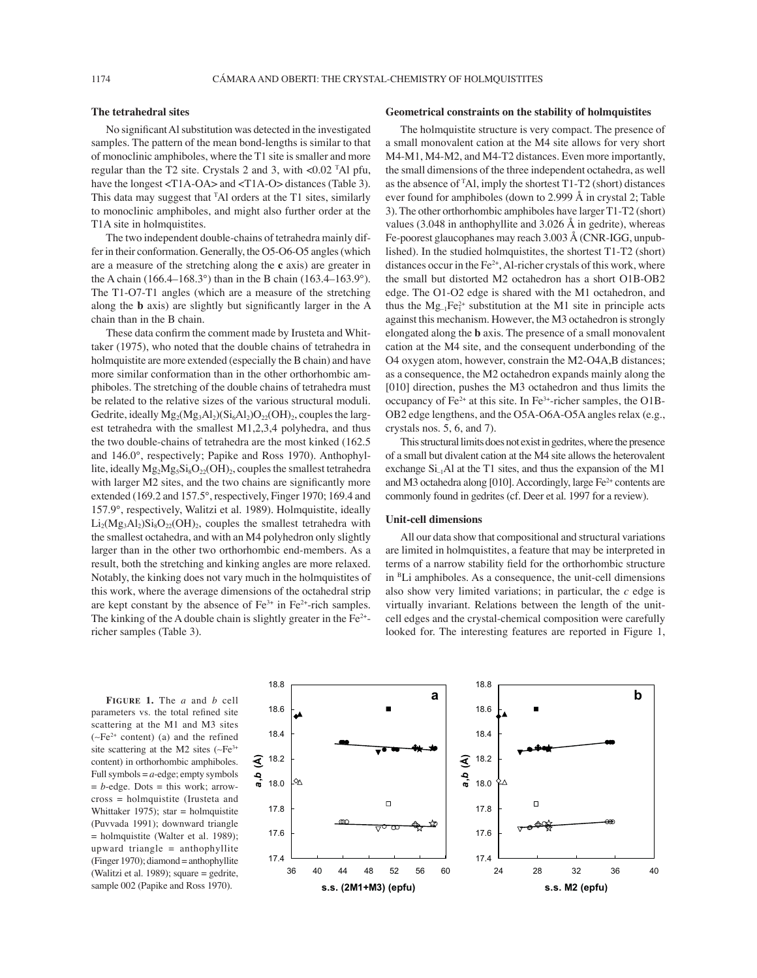## **The tetrahedral sites**

No significant Al substitution was detected in the investigated samples. The pattern of the mean bond-lengths is similar to that of monoclinic amphiboles, where the T1 site is smaller and more regular than the T2 site. Crystals 2 and 3, with <0.02 T Al pfu, have the longest <T1A-OA> and <T1A-O> distances (Table 3). This data may suggest that <sup>T</sup>Al orders at the T1 sites, similarly to monoclinic amphiboles, and might also further order at the T1A site in holmquistites.

The two independent double-chains of tetrahedra mainly differ in their conformation. Generally, the O5-O6-O5 angles (which are a measure of the stretching along the **c** axis) are greater in the A chain (166.4–168.3°) than in the B chain (163.4–163.9°). The T1-O7-T1 angles (which are a measure of the stretching along the **b** axis) are slightly but significantly larger in the A chain than in the B chain.

These data confirm the comment made by Irusteta and Whittaker (1975), who noted that the double chains of tetrahedra in holmquistite are more extended (especially the B chain) and have more similar conformation than in the other orthorhombic amphiboles. The stretching of the double chains of tetrahedra must be related to the relative sizes of the various structural moduli. Gedrite, ideally  $Mg_2(Mg_3Al_2)(Si_6Al_2)O_{22}(OH)_2$ , couples the largest tetrahedra with the smallest M1,2,3,4 polyhedra, and thus the two double-chains of tetrahedra are the most kinked (162.5 and 146.0°, respectively; Papike and Ross 1970). Anthophyllite, ideally  $Mg_2Mg_5Si_8O_{22}(OH)_2$ , couples the smallest tetrahedra with larger M2 sites, and the two chains are significantly more extended (169.2 and 157.5°, respectively, Finger 1970; 169.4 and 157.9°, respectively, Walitzi et al. 1989). Holmquistite, ideally  $Li_2(Mg_3Al_2)Si_8O_{22}(OH)_2$ , couples the smallest tetrahedra with the smallest octahedra, and with an M4 polyhedron only slightly larger than in the other two orthorhombic end-members. As a result, both the stretching and kinking angles are more relaxed. Notably, the kinking does not vary much in the holmquistites of this work, where the average dimensions of the octahedral strip are kept constant by the absence of  $Fe^{3+}$  in  $Fe^{2+}$ -rich samples. The kinking of the A double chain is slightly greater in the  $Fe<sup>2+</sup>$ richer samples (Table 3).

### **Geometrical constraints on the stability of holmquistites**

The holmquistite structure is very compact. The presence of a small monovalent cation at the M4 site allows for very short M4-M1, M4-M2, and M4-T2 distances. Even more importantly, the small dimensions of the three independent octahedra, as well as the absence of T Al, imply the shortest T1-T2 (short) distances ever found for amphiboles (down to 2.999 Å in crystal 2; Table 3). The other orthorhombic amphiboles have larger T1-T2 (short) values (3.048 in anthophyllite and 3.026 Å in gedrite), whereas Fe-poorest glaucophanes may reach 3.003 Å (CNR-IGG, unpublished). In the studied holmquistites, the shortest T1-T2 (short) distances occur in the Fe<sup>2+</sup>, Al-richer crystals of this work, where the small but distorted M2 octahedron has a short O1B-OB2 edge. The O1-O2 edge is shared with the M1 octahedron, and thus the  $Mg_{-1}Fe_1^{2+}$  substitution at the M1 site in principle acts against this mechanism. However, the M3 octahedron is strongly elongated along the **b** axis. The presence of a small monovalent cation at the M4 site, and the consequent underbonding of the O4 oxygen atom, however, constrain the M2-O4A,B distances; as a consequence, the M2 octahedron expands mainly along the [010] direction, pushes the M3 octahedron and thus limits the occupancy of Fe<sup>2+</sup> at this site. In Fe<sup>3+</sup>-richer samples, the O1B-OB2 edge lengthens, and the O5A-O6A-O5A angles relax (e.g., crystals nos. 5, 6, and 7).

This structural limits does not exist in gedrites, where the presence of a small but divalent cation at the M4 site allows the heterovalent exchange  $Si<sub>-1</sub>Al$  at the T1 sites, and thus the expansion of the M1 and M3 octahedra along [010]. Accordingly, large Fe<sup>2+</sup> contents are commonly found in gedrites (cf. Deer et al. 1997 for a review).

## **Unit-cell dimensions**

All our data show that compositional and structural variations are limited in holmquistites, a feature that may be interpreted in terms of a narrow stability field for the orthorhombic structure in BLi amphiboles. As a consequence, the unit-cell dimensions also show very limited variations; in particular, the *c* edge is virtually invariant. Relations between the length of the unitcell edges and the crystal-chemical composition were carefully looked for. The interesting features are reported in Figure 1,

parameters vs. the total refined site scattering at the M1 and M3 sites (∼Fe2+ content) (a) and the refined site scattering at the M2 sites (∼Fe<sup>3+</sup> content) in orthorhombic amphiboles. Full symbols  $= a$ -edge; empty symbols  $= b$ -edge. Dots  $=$  this work; arrowcross = holmquistite (Irusteta and Whittaker 1975); star = holmquistite (Puvvada 1991); downward triangle = holmquistite (Walter et al. 1989); upward triangle = anthophyllite (Finger 1970); diamond = anthophyllite (Walitzi et al. 1989); square = gedrite, sample 002 (Papike and Ross 1970).

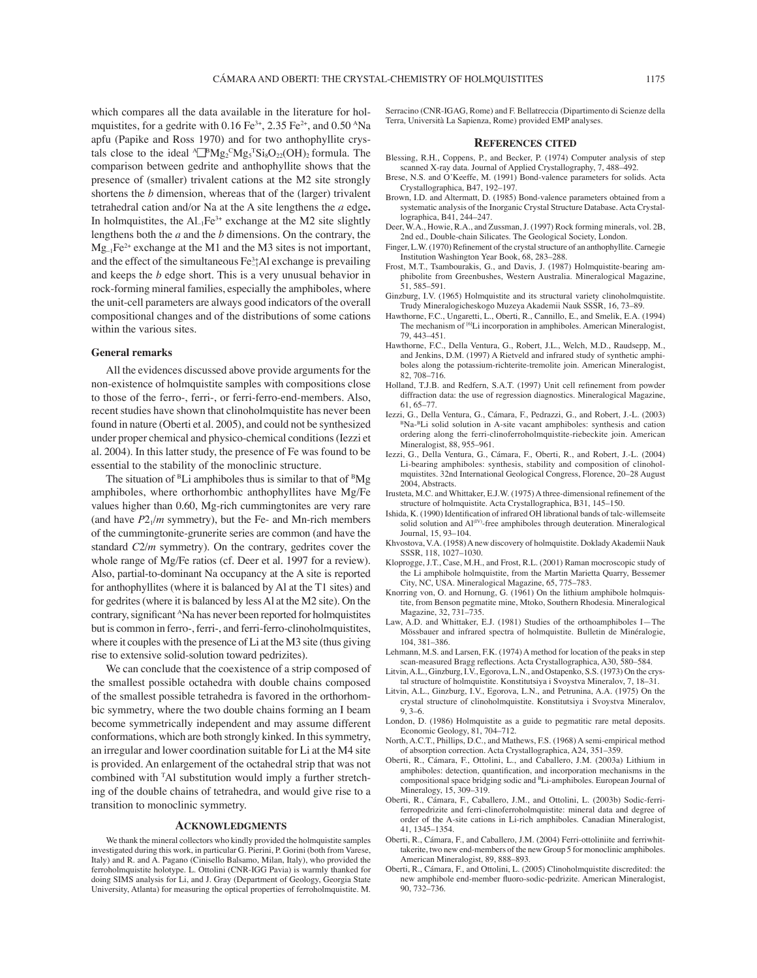which compares all the data available in the literature for holmquistites, for a gedrite with  $0.16 \text{ Fe}^{3+}$ ,  $2.35 \text{ Fe}^{2+}$ , and  $0.50 \text{ ANa}$ apfu (Papike and Ross 1970) and for two anthophyllite crystals close to the ideal  $\sqrt{\mu}Mg_2^{\text{C}}Mg_5^{\text{T}}Si_8O_{22}(OH)_2$  formula. The comparison between gedrite and anthophyllite shows that the presence of (smaller) trivalent cations at the M2 site strongly shortens the *b* dimension, whereas that of the (larger) trivalent tetrahedral cation and/or Na at the A site lengthens the *a* edge**.** In holmquistites, the  $\text{Al}_{\text{-1}}\text{Fe}^{3+}$  exchange at the M2 site slightly lengthens both the *a* and the *b* dimensions. On the contrary, the  $Mg_{-1}Fe^{2+}$  exchange at the M1 and the M3 sites is not important, and the effect of the simultaneous  $Fe^{3+}_{-1}Al$  exchange is prevailing and keeps the *b* edge short. This is a very unusual behavior in rock-forming mineral families, especially the amphiboles, where the unit-cell parameters are always good indicators of the overall compositional changes and of the distributions of some cations within the various sites.

## **General remarks**

All the evidences discussed above provide arguments for the non-existence of holmquistite samples with compositions close to those of the ferro-, ferri-, or ferri-ferro-end-members. Also, recent studies have shown that clinoholmquistite has never been found in nature (Oberti et al. 2005), and could not be synthesized under proper chemical and physico-chemical conditions (Iezzi et al. 2004). In this latter study, the presence of Fe was found to be essential to the stability of the monoclinic structure.

The situation of  ${}^{B}Li$  amphiboles thus is similar to that of  ${}^{B}Mg$ amphiboles, where orthorhombic anthophyllites have Mg/Fe values higher than 0.60, Mg-rich cummingtonites are very rare (and have  $P2_1/m$  symmetry), but the Fe- and Mn-rich members of the cummingtonite-grunerite series are common (and have the standard *C*2/*m* symmetry). On the contrary, gedrites cover the whole range of Mg/Fe ratios (cf. Deer et al. 1997 for a review). Also, partial-to-dominant Na occupancy at the A site is reported for anthophyllites (where it is balanced by Al at the T1 sites) and for gedrites (where it is balanced by less Al at the M2 site). On the contrary, significant <sup>A</sup>Na has never been reported for holmquistites but is common in ferro-, ferri-, and ferri-ferro-clinoholmquistites, where it couples with the presence of Li at the M3 site (thus giving rise to extensive solid-solution toward pedrizites).

We can conclude that the coexistence of a strip composed of the smallest possible octahedra with double chains composed of the smallest possible tetrahedra is favored in the orthorhombic symmetry, where the two double chains forming an I beam become symmetrically independent and may assume different conformations, which are both strongly kinked. In this symmetry, an irregular and lower coordination suitable for Li at the M4 site is provided. An enlargement of the octahedral strip that was not combined with T Al substitution would imply a further stretching of the double chains of tetrahedra, and would give rise to a transition to monoclinic symmetry.

### **ACKNOWLEDGMENTS**

We thank the mineral collectors who kindly provided the holmquistite samples investigated during this work, in particular G. Pierini, P. Gorini (both from Varese, Italy) and R. and A. Pagano (Cinisello Balsamo, Milan, Italy), who provided the ferroholmquistite holotype. L. Ottolini (CNR-IGG Pavia) is warmly thanked for doing SIMS analysis for Li, and J. Gray (Department of Geology, Georgia State University, Atlanta) for measuring the optical properties of ferroholmquistite. M. Serracino (CNR-IGAG, Rome) and F. Bellatreccia (Dipartimento di Scienze della Terra, Università La Sapienza, Rome) provided EMP analyses.

## **REFERENCES CITED**

- Blessing, R.H., Coppens, P., and Becker, P. (1974) Computer analysis of step scanned X-ray data. Journal of Applied Crystallography, 7, 488–492.
- Brese, N.S. and O·Keeffe, M. (1991) Bond-valence parameters for solids. Acta Crystallographica, B47, 192–197.
- Brown, I.D. and Altermatt, D. (1985) Bond-valence parameters obtained from a systematic analysis of the Inorganic Crystal Structure Database. Acta Crystallographica, B41, 244–247.
- Deer, W.A., Howie, R.A., and Zussman, J. (1997) Rock forming minerals, vol. 2B, 2nd ed., Double-chain Silicates. The Geological Society, London.
- Finger, L.W. (1970) Refinement of the crystal structure of an anthophyllite. Carnegie Institution Washington Year Book, 68, 283–288.
- Frost, M.T., Tsambourakis, G., and Davis, J. (1987) Holmquistite-bearing amphibolite from Greenbushes, Western Australia. Mineralogical Magazine, 51, 585–591.
- Ginzburg, I.V. (1965) Holmquistite and its structural variety clinoholmquistite. Trudy Mineralogicheskogo Muzeya Akademii Nauk SSSR, 16, 73–89.
- Hawthorne, F.C., Ungaretti, L., Oberti, R., Cannillo, E., and Smelik, E.A. (1994) The mechanism of <sup>[6]</sup>Li incorporation in amphiboles. American Mineralogist, 79, 443–451.
- Hawthorne, F.C., Della Ventura, G., Robert, J.L., Welch, M.D., Raudsepp, M., and Jenkins, D.M. (1997) A Rietveld and infrared study of synthetic amphiboles along the potassium-richterite-tremolite join. American Mineralogist, 82, 708–716.
- Holland, T.J.B. and Redfern, S.A.T. (1997) Unit cell refinement from powder diffraction data: the use of regression diagnostics. Mineralogical Magazine, 61, 65–77.<br>Iezzi, G., Della Ventura, G., Cámara, F., Pedrazzi, G., and Robert, J.-L. (2003)
- <sup>B</sup>Na-<sup>B</sup>Li solid solution in A-site vacant amphiboles: synthesis and cation ordering along the ferri-clinoferroholmquistite-riebeckite join. American Mineralogist, 88, 955–961.
- Iezzi, G., Della Ventura, G., Cámara, F., Oberti, R., and Robert, J.-L. (2004) Li-bearing amphiboles: synthesis, stability and composition of clinoholmquistites. 32nd International Geological Congress, Florence, 20–28 August 2004, Abstracts.
- Irusteta, M.C. and Whittaker, E.J.W. (1975) A three-dimensional refinement of the structure of holmquistite. Acta Crystallographica, B31, 145–150.
- Ishida, K. (1990) Identification of infrared OH librational bands of talc-willemseite solid solution and Al<sup>(IV)</sup>-free amphiboles through deuteration. Mineralogical Journal, 15, 93–104.
- Khvostova, V.A. (1958) A new discovery of holmquistite. Doklady Akademii Nauk SSSR, 118, 1027–1030.
- Kloprogge, J.T., Case, M.H., and Frost, R.L. (2001) Raman mocroscopic study of the Li amphibole holmquistite, from the Martin Marietta Quarry, Bessemer City, NC, USA. Mineralogical Magazine, 65, 775–783.
- Knorring von, O. and Hornung, G. (1961) On the lithium amphibole holmquistite, from Benson pegmatite mine, Mtoko, Southern Rhodesia. Mineralogical Magazine, 32, 731–735.
- Law, A.D. and Whittaker, E.J. (1981) Studies of the orthoamphiboles I—The Mössbauer and infrared spectra of holmquistite. Bulletin de Minéralogie, 104, 381–386.
- Lehmann, M.S. and Larsen, F.K. (1974) A method for location of the peaks in step scan-measured Bragg reflections. Acta Crystallographica, A30, 580-584.
- Litvin, A.L., Ginzburg, I.V., Egorova, L.N., and Ostapenko, S.S. (1973) On the crystal structure of holmquistite. Konstitutsiya i Svoystva Mineralov, 7, 18–31.
- Litvin, A.L., Ginzburg, I.V., Egorova, L.N., and Petrunina, A.A. (1975) On the crystal structure of clinoholmquistite. Konstitutsiya i Svoystva Mineralov, 9, 3–6.
- London, D. (1986) Holmquistite as a guide to pegmatitic rare metal deposits. Economic Geology, 81, 704–712.
- North, A.C.T., Phillips, D.C., and Mathews, F.S. (1968) A semi-empirical method of absorption correction. Acta Crystallographica, A24, 351–359.
- Oberti, R., Cámara, F., Ottolini, L., and Caballero, J.M. (2003a) Lithium in amphiboles: detection, quantification, and incorporation mechanisms in the compositional space bridging sodic and <sup>B</sup>Li-amphiboles. European Journal of Mineralogy, 15, 309–319.
- Oberti, R., Cámara, F., Caballero, J.M., and Ottolini, L. (2003b) Sodic-ferriferropedrizite and ferri-clinoferroholmquistite: mineral data and degree of order of the A-site cations in Li-rich amphiboles. Canadian Mineralogist, 41, 1345–1354.
- Oberti, R., Cámara, F., and Caballero, J.M. (2004) Ferri-ottoliniite and ferriwhittakerite, two new end-members of the new Group 5 for monoclinic amphiboles. American Mineralogist, 89, 888–893.
- Oberti, R., Cámara, F., and Ottolini, L. (2005) Clinoholmquistite discredited: the new amphibole end-member fluoro-sodic-pedrizite. American Mineralogist, 90, 732–736.